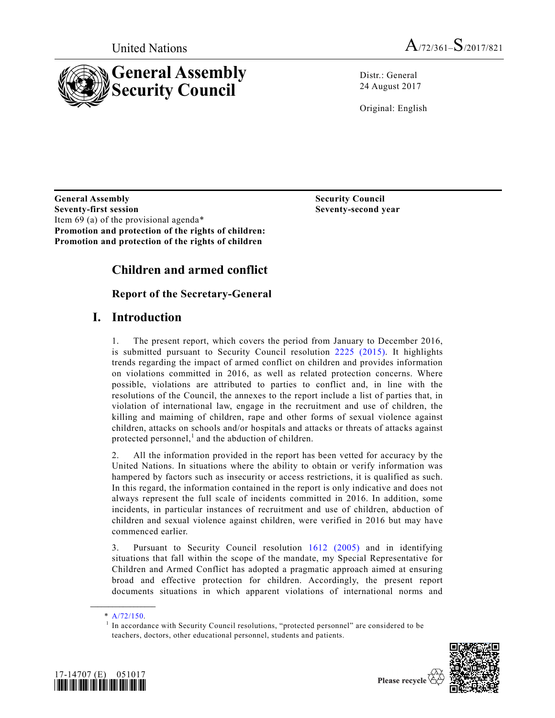

Distr.: General 24 August 2017

Original: English

**General Assembly Seventy-first session**  Item 69 (a) of the provisional agenda\* **Promotion and protection of the rights of children: Promotion and protection of the rights of children** 

 **Security Council Seventy-second year** 

# **Children and armed conflict**

## **Report of the Secretary-General**

# **I. Introduction**

1. The present report, which covers the period from January to December 2016, is submitted pursuant to Security Council resolution 2225 (2015). It highlights trends regarding the impact of armed conflict on children and provides information on violations committed in 2016, as well as related protection concerns. Where possible, violations are attributed to parties to conflict and, in line with the resolutions of the Council, the annexes to the report include a list of parties that, in violation of international law, engage in the recruitment and use of children, the killing and maiming of children, rape and other forms of sexual violence against children, attacks on schools and/or hospitals and attacks or threats of attacks against protected personnel,<sup>1</sup> and the abduction of children.

2. All the information provided in the report has been vetted for accuracy by the United Nations. In situations where the ability to obtain or verify information was hampered by factors such as insecurity or access restrictions, it is qualified as such. In this regard, the information contained in the report is only indicative and does not always represent the full scale of incidents committed in 2016. In addition, some incidents, in particular instances of recruitment and use of children, abduction of children and sexual violence against children, were verified in 2016 but may have commenced earlier.

3. Pursuant to Security Council resolution 1612 (2005) and in identifying situations that fall within the scope of the mandate, my Special Representative for Children and Armed Conflict has adopted a pragmatic approach aimed at ensuring broad and effective protection for children. Accordingly, the present report documents situations in which apparent violations of international norms and

<sup>1</sup> In accordance with Security Council resolutions, "protected personnel" are considered to be teachers, doctors, other educational personnel, students and patients.



**\_\_\_\_\_\_\_\_\_\_\_\_\_\_\_\_\_\_**   $*$  A/72/150.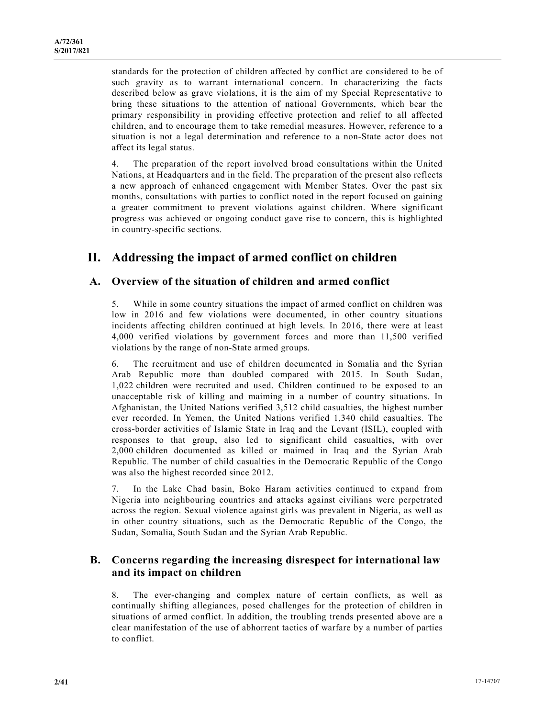standards for the protection of children affected by conflict are considered to be of such gravity as to warrant international concern. In characterizing the facts described below as grave violations, it is the aim of my Special Representative to bring these situations to the attention of national Governments, which bear the primary responsibility in providing effective protection and relief to all affected children, and to encourage them to take remedial measures. However, reference to a situation is not a legal determination and reference to a non-State actor does not affect its legal status.

4. The preparation of the report involved broad consultations within the United Nations, at Headquarters and in the field. The preparation of the present also reflects a new approach of enhanced engagement with Member States. Over the past six months, consultations with parties to conflict noted in the report focused on gaining a greater commitment to prevent violations against children. Where significant progress was achieved or ongoing conduct gave rise to concern, this is highlighted in country-specific sections.

# **II. Addressing the impact of armed conflict on children**

## **A. Overview of the situation of children and armed conflict**

5. While in some country situations the impact of armed conflict on children was low in 2016 and few violations were documented, in other country situations incidents affecting children continued at high levels. In 2016, there were at least 4,000 verified violations by government forces and more than 11,500 verified violations by the range of non-State armed groups.

6. The recruitment and use of children documented in Somalia and the Syrian Arab Republic more than doubled compared with 2015. In South Sudan, 1,022 children were recruited and used. Children continued to be exposed to an unacceptable risk of killing and maiming in a number of country situations. In Afghanistan, the United Nations verified 3,512 child casualties, the highest number ever recorded. In Yemen, the United Nations verified 1,340 child casualties. The cross-border activities of Islamic State in Iraq and the Levant (ISIL), coupled with responses to that group, also led to significant child casualties, with over 2,000 children documented as killed or maimed in Iraq and the Syrian Arab Republic. The number of child casualties in the Democratic Republic of the Congo was also the highest recorded since 2012.

7. In the Lake Chad basin, Boko Haram activities continued to expand from Nigeria into neighbouring countries and attacks against civilians were perpetrated across the region. Sexual violence against girls was prevalent in Nigeria, as well as in other country situations, such as the Democratic Republic of the Congo, the Sudan, Somalia, South Sudan and the Syrian Arab Republic.

## **B. Concerns regarding the increasing disrespect for international law and its impact on children**

8. The ever-changing and complex nature of certain conflicts, as well as continually shifting allegiances, posed challenges for the protection of children in situations of armed conflict. In addition, the troubling trends presented above are a clear manifestation of the use of abhorrent tactics of warfare by a number of parties to conflict.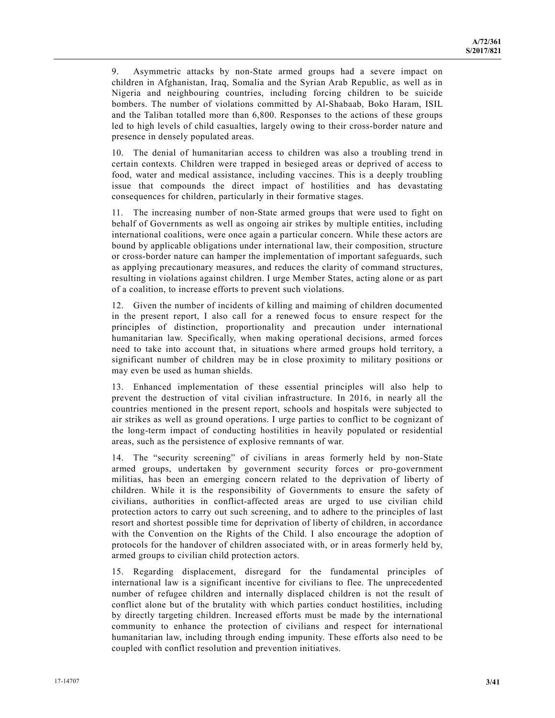9. Asymmetric attacks by non-State armed groups had a severe impact on children in Afghanistan, Iraq, Somalia and the Syrian Arab Republic, as well as in Nigeria and neighbouring countries, including forcing children to be suicide bombers. The number of violations committed by Al-Shabaab, Boko Haram, ISIL and the Taliban totalled more than 6,800. Responses to the actions of these groups led to high levels of child casualties, largely owing to their cross-border nature and presence in densely populated areas.

10. The denial of humanitarian access to children was also a troubling trend in certain contexts. Children were trapped in besieged areas or deprived of access to food, water and medical assistance, including vaccines. This is a deeply troubling issue that compounds the direct impact of hostilities and has devastating consequences for children, particularly in their formative stages.

11. The increasing number of non-State armed groups that were used to fight on behalf of Governments as well as ongoing air strikes by multiple entities, including international coalitions, were once again a particular concern. While these actors are bound by applicable obligations under international law, their composition, structure or cross-border nature can hamper the implementation of important safeguards, such as applying precautionary measures, and reduces the clarity of command structures, resulting in violations against children. I urge Member States, acting alone or as part of a coalition, to increase efforts to prevent such violations.

12. Given the number of incidents of killing and maiming of children documented in the present report, I also call for a renewed focus to ensure respect for the principles of distinction, proportionality and precaution under international humanitarian law. Specifically, when making operational decisions, armed forces need to take into account that, in situations where armed groups hold territory, a significant number of children may be in close proximity to military positions or may even be used as human shields.

13. Enhanced implementation of these essential principles will also help to prevent the destruction of vital civilian infrastructure. In 2016, in nearly all the countries mentioned in the present report, schools and hospitals were subjected to air strikes as well as ground operations. I urge parties to conflict to be cognizant of the long-term impact of conducting hostilities in heavily populated or residential areas, such as the persistence of explosive remnants of war.

14. The "security screening" of civilians in areas formerly held by non-State armed groups, undertaken by government security forces or pro-government militias, has been an emerging concern related to the deprivation of liberty of children. While it is the responsibility of Governments to ensure the safety of civilians, authorities in conflict-affected areas are urged to use civilian child protection actors to carry out such screening, and to adhere to the principles of last resort and shortest possible time for deprivation of liberty of children, in accordance with the Convention on the Rights of the Child. I also encourage the adoption of protocols for the handover of children associated with, or in areas formerly held by, armed groups to civilian child protection actors.

15. Regarding displacement, disregard for the fundamental principles of international law is a significant incentive for civilians to flee. The unprecedented number of refugee children and internally displaced children is not the result of conflict alone but of the brutality with which parties conduct hostilities, including by directly targeting children. Increased efforts must be made by the international community to enhance the protection of civilians and respect for international humanitarian law, including through ending impunity. These efforts also need to be coupled with conflict resolution and prevention initiatives.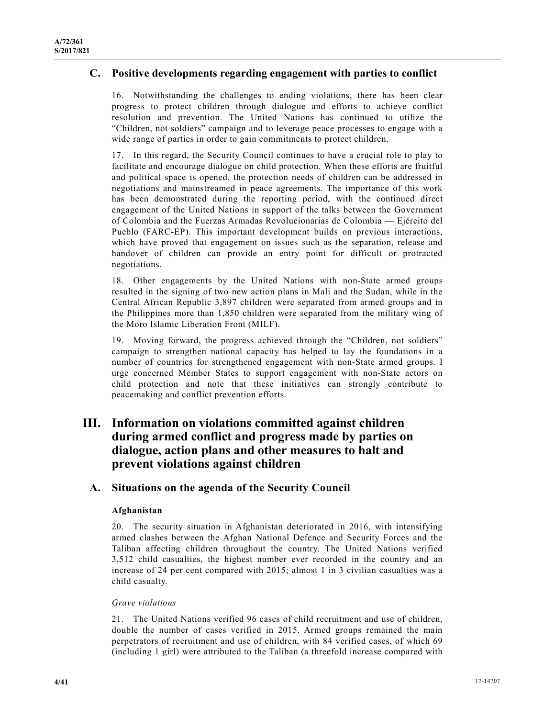## **C. Positive developments regarding engagement with parties to conflict**

16. Notwithstanding the challenges to ending violations, there has been clear progress to protect children through dialogue and efforts to achieve conflict resolution and prevention. The United Nations has continued to utilize the "Children, not soldiers" campaign and to leverage peace processes to engage with a wide range of parties in order to gain commitments to protect children.

17. In this regard, the Security Council continues to have a crucial role to play to facilitate and encourage dialogue on child protection. When these efforts are fruitful and political space is opened, the protection needs of children can be addressed in negotiations and mainstreamed in peace agreements. The importance of this work has been demonstrated during the reporting period, with the continued direct engagement of the United Nations in support of the talks between the Government of Colombia and the Fuerzas Armadas Revolucionarias de Colombia — Ejército del Pueblo (FARC-EP). This important development builds on previous interactions, which have proved that engagement on issues such as the separation, release and handover of children can provide an entry point for difficult or protracted negotiations.

18. Other engagements by the United Nations with non-State armed groups resulted in the signing of two new action plans in Mali and the Sudan, while in the Central African Republic 3,897 children were separated from armed groups and in the Philippines more than 1,850 children were separated from the military wing of the Moro Islamic Liberation Front (MILF).

19. Moving forward, the progress achieved through the "Children, not soldiers" campaign to strengthen national capacity has helped to lay the foundations in a number of countries for strengthened engagement with non-State armed groups. I urge concerned Member States to support engagement with non-State actors on child protection and note that these initiatives can strongly contribute to peacemaking and conflict prevention efforts.

# **III. Information on violations committed against children during armed conflict and progress made by parties on dialogue, action plans and other measures to halt and prevent violations against children**

## **A. Situations on the agenda of the Security Council**

## **Afghanistan**

20. The security situation in Afghanistan deteriorated in 2016, with intensifying armed clashes between the Afghan National Defence and Security Forces and the Taliban affecting children throughout the country. The United Nations verified 3,512 child casualties, the highest number ever recorded in the country and an increase of 24 per cent compared with 2015; almost 1 in 3 civilian casualties was a child casualty.

#### *Grave violations*

21. The United Nations verified 96 cases of child recruitment and use of children, double the number of cases verified in 2015. Armed groups remained the main perpetrators of recruitment and use of children, with 84 verified cases, of which 69 (including 1 girl) were attributed to the Taliban (a threefold increase compared with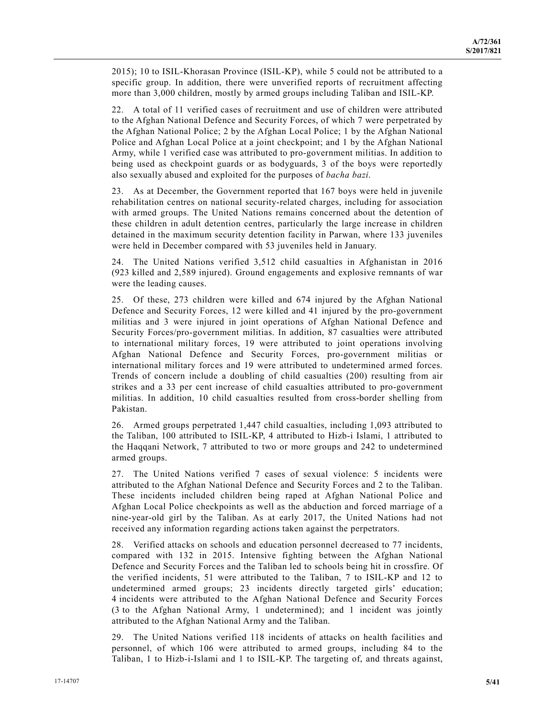2015); 10 to ISIL-Khorasan Province (ISIL-KP), while 5 could not be attributed to a specific group. In addition, there were unverified reports of recruitment affecting more than 3,000 children, mostly by armed groups including Taliban and ISIL-KP.

22. A total of 11 verified cases of recruitment and use of children were attributed to the Afghan National Defence and Security Forces, of which 7 were perpetrated by the Afghan National Police; 2 by the Afghan Local Police; 1 by the Afghan National Police and Afghan Local Police at a joint checkpoint; and 1 by the Afghan National Army, while 1 verified case was attributed to pro-government militias. In addition to being used as checkpoint guards or as bodyguards, 3 of the boys were reportedly also sexually abused and exploited for the purposes of *bacha bazi*.

23. As at December, the Government reported that 167 boys were held in juvenile rehabilitation centres on national security-related charges, including for association with armed groups. The United Nations remains concerned about the detention of these children in adult detention centres, particularly the large increase in children detained in the maximum security detention facility in Parwan, where 133 juveniles were held in December compared with 53 juveniles held in January.

24. The United Nations verified 3,512 child casualties in Afghanistan in 2016 (923 killed and 2,589 injured). Ground engagements and explosive remnants of war were the leading causes.

25. Of these, 273 children were killed and 674 injured by the Afghan National Defence and Security Forces, 12 were killed and 41 injured by the pro-government militias and 3 were injured in joint operations of Afghan National Defence and Security Forces/pro-government militias. In addition, 87 casualties were attributed to international military forces, 19 were attributed to joint operations involving Afghan National Defence and Security Forces, pro-government militias or international military forces and 19 were attributed to undetermined armed forces. Trends of concern include a doubling of child casualties (200) resulting from air strikes and a 33 per cent increase of child casualties attributed to pro-government militias. In addition, 10 child casualties resulted from cross-border shelling from Pakistan.

26. Armed groups perpetrated 1,447 child casualties, including 1,093 attributed to the Taliban, 100 attributed to ISIL-KP, 4 attributed to Hizb-i Islami, 1 attributed to the Haqqani Network, 7 attributed to two or more groups and 242 to undetermined armed groups.

27. The United Nations verified 7 cases of sexual violence: 5 incidents were attributed to the Afghan National Defence and Security Forces and 2 to the Taliban. These incidents included children being raped at Afghan National Police and Afghan Local Police checkpoints as well as the abduction and forced marriage of a nine-year-old girl by the Taliban. As at early 2017, the United Nations had not received any information regarding actions taken against the perpetrators.

28. Verified attacks on schools and education personnel decreased to 77 incidents, compared with 132 in 2015. Intensive fighting between the Afghan National Defence and Security Forces and the Taliban led to schools being hit in crossfire. Of the verified incidents, 51 were attributed to the Taliban, 7 to ISIL-KP and 12 to undetermined armed groups; 23 incidents directly targeted girls' education; 4 incidents were attributed to the Afghan National Defence and Security Forces (3 to the Afghan National Army, 1 undetermined); and 1 incident was jointly attributed to the Afghan National Army and the Taliban.

29. The United Nations verified 118 incidents of attacks on health facilities and personnel, of which 106 were attributed to armed groups, including 84 to the Taliban, 1 to Hizb-i-Islami and 1 to ISIL-KP. The targeting of, and threats against,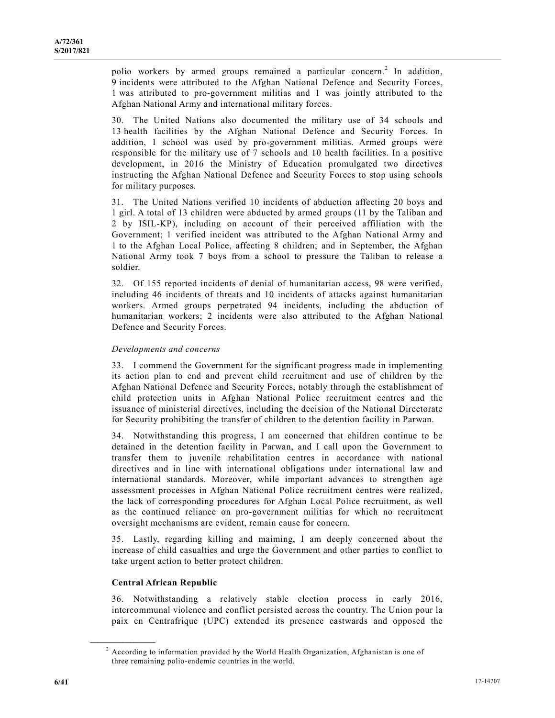polio workers by armed groups remained a particular concern.<sup>2</sup> In addition, 9 incidents were attributed to the Afghan National Defence and Security Forces, 1 was attributed to pro-government militias and 1 was jointly attributed to the Afghan National Army and international military forces.

30. The United Nations also documented the military use of 34 schools and 13 health facilities by the Afghan National Defence and Security Forces. In addition, 1 school was used by pro-government militias. Armed groups were responsible for the military use of 7 schools and 10 health facilities. In a positive development, in 2016 the Ministry of Education promulgated two directives instructing the Afghan National Defence and Security Forces to stop using schools for military purposes.

31. The United Nations verified 10 incidents of abduction affecting 20 boys and 1 girl. A total of 13 children were abducted by armed groups (11 by the Taliban and 2 by ISIL-KP), including on account of their perceived affiliation with the Government; 1 verified incident was attributed to the Afghan National Army and 1 to the Afghan Local Police, affecting 8 children; and in September, the Afghan National Army took 7 boys from a school to pressure the Taliban to release a soldier.

32. Of 155 reported incidents of denial of humanitarian access, 98 were verified, including 46 incidents of threats and 10 incidents of attacks against humanitarian workers. Armed groups perpetrated 94 incidents, including the abduction of humanitarian workers; 2 incidents were also attributed to the Afghan National Defence and Security Forces.

## *Developments and concerns*

33. I commend the Government for the significant progress made in implementing its action plan to end and prevent child recruitment and use of children by the Afghan National Defence and Security Forces, notably through the establishment of child protection units in Afghan National Police recruitment centres and the issuance of ministerial directives, including the decision of the National Directorate for Security prohibiting the transfer of children to the detention facility in Parwan.

34. Notwithstanding this progress, I am concerned that children continue to be detained in the detention facility in Parwan, and I call upon the Government to transfer them to juvenile rehabilitation centres in accordance with national directives and in line with international obligations under international law and international standards. Moreover, while important advances to strengthen age assessment processes in Afghan National Police recruitment centres were realized, the lack of corresponding procedures for Afghan Local Police recruitment, as well as the continued reliance on pro-government militias for which no recruitment oversight mechanisms are evident, remain cause for concern.

35. Lastly, regarding killing and maiming, I am deeply concerned about the increase of child casualties and urge the Government and other parties to conflict to take urgent action to better protect children.

## **Central African Republic**

**\_\_\_\_\_\_\_\_\_\_\_\_\_\_\_\_\_\_** 

36. Notwithstanding a relatively stable election process in early 2016, intercommunal violence and conflict persisted across the country. The Union pour la paix en Centrafrique (UPC) extended its presence eastwards and opposed the

 $2$  According to information provided by the World Health Organization, Afghanistan is one of three remaining polio-endemic countries in the world.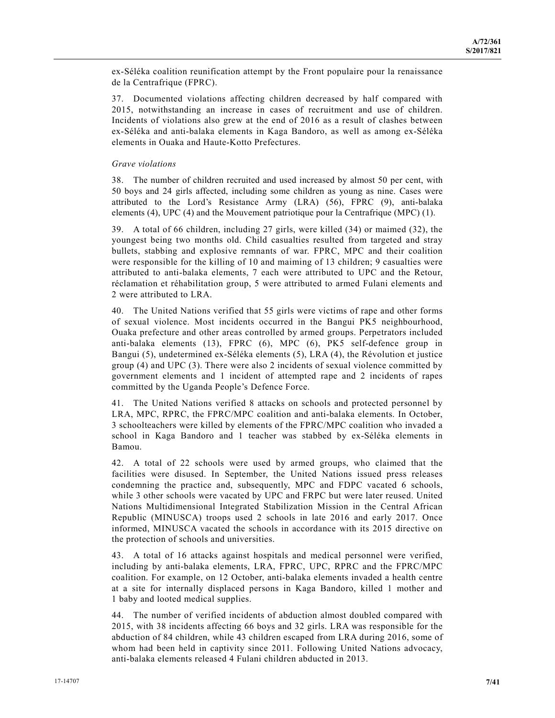ex-Séléka coalition reunification attempt by the Front populaire pour la renaissance de la Centrafrique (FPRC).

37. Documented violations affecting children decreased by half compared with 2015, notwithstanding an increase in cases of recruitment and use of children. Incidents of violations also grew at the end of 2016 as a result of clashes between ex-Séléka and anti-balaka elements in Kaga Bandoro, as well as among ex-Séléka elements in Ouaka and Haute-Kotto Prefectures.

#### *Grave violations*

38. The number of children recruited and used increased by almost 50 per cent, with 50 boys and 24 girls affected, including some children as young as nine. Cases were attributed to the Lord's Resistance Army (LRA) (56), FPRC (9), anti-balaka elements (4), UPC (4) and the Mouvement patriotique pour la Centrafrique (MPC) (1).

39. A total of 66 children, including 27 girls, were killed (34) or maimed (32), the youngest being two months old. Child casualties resulted from targeted and stray bullets, stabbing and explosive remnants of war. FPRC, MPC and their coalition were responsible for the killing of 10 and maiming of 13 children; 9 casualties were attributed to anti-balaka elements, 7 each were attributed to UPC and the Retour, réclamation et réhabilitation group, 5 were attributed to armed Fulani elements and 2 were attributed to LRA.

40. The United Nations verified that 55 girls were victims of rape and other forms of sexual violence. Most incidents occurred in the Bangui PK5 neighbourhood, Ouaka prefecture and other areas controlled by armed groups. Perpetrators included anti-balaka elements (13), FPRC (6), MPC (6), PK5 self-defence group in Bangui (5), undetermined ex-Séléka elements (5), LRA (4), the Révolution et justice group (4) and UPC (3). There were also 2 incidents of sexual violence committed by government elements and 1 incident of attempted rape and 2 incidents of rapes committed by the Uganda People's Defence Force.

41. The United Nations verified 8 attacks on schools and protected personnel by LRA, MPC, RPRC, the FPRC/MPC coalition and anti-balaka elements. In October, 3 schoolteachers were killed by elements of the FPRC/MPC coalition who invaded a school in Kaga Bandoro and 1 teacher was stabbed by ex-Séléka elements in Bamou.

42. A total of 22 schools were used by armed groups, who claimed that the facilities were disused. In September, the United Nations issued press releases condemning the practice and, subsequently, MPC and FDPC vacated 6 schools, while 3 other schools were vacated by UPC and FRPC but were later reused. United Nations Multidimensional Integrated Stabilization Mission in the Central African Republic (MINUSCA) troops used 2 schools in late 2016 and early 2017. Once informed, MINUSCA vacated the schools in accordance with its 2015 directive on the protection of schools and universities.

43. A total of 16 attacks against hospitals and medical personnel were verified, including by anti-balaka elements, LRA, FPRC, UPC, RPRC and the FPRC/MPC coalition. For example, on 12 October, anti-balaka elements invaded a health centre at a site for internally displaced persons in Kaga Bandoro, killed 1 mother and 1 baby and looted medical supplies.

44. The number of verified incidents of abduction almost doubled compared with 2015, with 38 incidents affecting 66 boys and 32 girls. LRA was responsible for the abduction of 84 children, while 43 children escaped from LRA during 2016, some of whom had been held in captivity since 2011. Following United Nations advocacy, anti-balaka elements released 4 Fulani children abducted in 2013.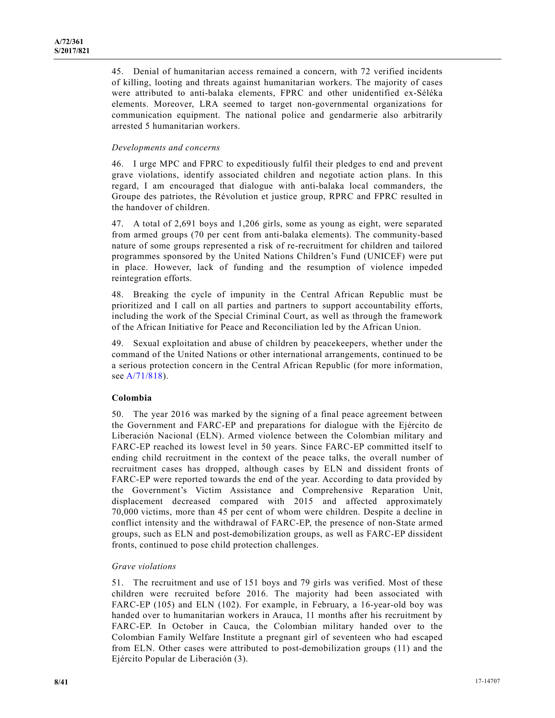45. Denial of humanitarian access remained a concern, with 72 verified incidents of killing, looting and threats against humanitarian workers. The majority of cases were attributed to anti-balaka elements, FPRC and other unidentified ex-Séléka elements. Moreover, LRA seemed to target non-governmental organizations for communication equipment. The national police and gendarmerie also arbitrarily arrested 5 humanitarian workers.

## *Developments and concerns*

46. I urge MPC and FPRC to expeditiously fulfil their pledges to end and prevent grave violations, identify associated children and negotiate action plans. In this regard, I am encouraged that dialogue with anti-balaka local commanders, the Groupe des patriotes, the Révolution et justice group, RPRC and FPRC resulted in the handover of children.

47. A total of 2,691 boys and 1,206 girls, some as young as eight, were separated from armed groups (70 per cent from anti-balaka elements). The community-based nature of some groups represented a risk of re-recruitment for children and tailored programmes sponsored by the United Nations Children's Fund (UNICEF) were put in place. However, lack of funding and the resumption of violence impeded reintegration efforts.

48. Breaking the cycle of impunity in the Central African Republic must be prioritized and I call on all parties and partners to support accountability efforts, including the work of the Special Criminal Court, as well as through the framework of the African Initiative for Peace and Reconciliation led by the African Union.

49. Sexual exploitation and abuse of children by peacekeepers, whether under the command of the United Nations or other international arrangements, continued to be a serious protection concern in the Central African Republic (for more information, see A/71/818).

## **Colombia**

50. The year 2016 was marked by the signing of a final peace agreement between the Government and FARC-EP and preparations for dialogue with the Ejército de Liberación Nacional (ELN). Armed violence between the Colombian military and FARC-EP reached its lowest level in 50 years. Since FARC-EP committed itself to ending child recruitment in the context of the peace talks, the overall number of recruitment cases has dropped, although cases by ELN and dissident fronts of FARC-EP were reported towards the end of the year. According to data provided by the Government's Victim Assistance and Comprehensive Reparation Unit, displacement decreased compared with 2015 and affected approximately 70,000 victims, more than 45 per cent of whom were children. Despite a decline in conflict intensity and the withdrawal of FARC-EP, the presence of non-State armed groups, such as ELN and post-demobilization groups, as well as FARC-EP dissident fronts, continued to pose child protection challenges.

#### *Grave violations*

51. The recruitment and use of 151 boys and 79 girls was verified. Most of these children were recruited before 2016. The majority had been associated with FARC-EP (105) and ELN (102). For example, in February, a 16-year-old boy was handed over to humanitarian workers in Arauca, 11 months after his recruitment by FARC-EP. In October in Cauca, the Colombian military handed over to the Colombian Family Welfare Institute a pregnant girl of seventeen who had escaped from ELN. Other cases were attributed to post-demobilization groups (11) and the Ejército Popular de Liberación (3).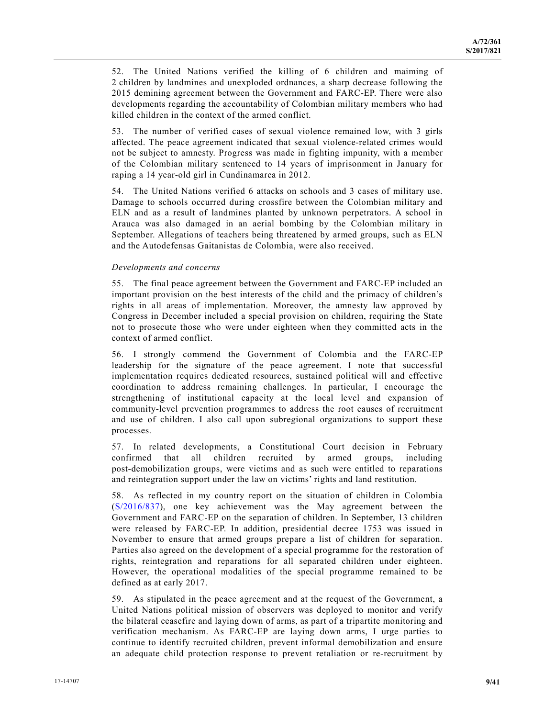52. The United Nations verified the killing of 6 children and maiming of 2 children by landmines and unexploded ordnances, a sharp decrease following the 2015 demining agreement between the Government and FARC-EP. There were also developments regarding the accountability of Colombian military members who had killed children in the context of the armed conflict.

53. The number of verified cases of sexual violence remained low, with 3 girls affected. The peace agreement indicated that sexual violence-related crimes would not be subject to amnesty. Progress was made in fighting impunity, with a member of the Colombian military sentenced to 14 years of imprisonment in January for raping a 14 year-old girl in Cundinamarca in 2012.

54. The United Nations verified 6 attacks on schools and 3 cases of military use. Damage to schools occurred during crossfire between the Colombian military and ELN and as a result of landmines planted by unknown perpetrators. A school in Arauca was also damaged in an aerial bombing by the Colombian military in September. Allegations of teachers being threatened by armed groups, such as ELN and the Autodefensas Gaitanistas de Colombia, were also received.

#### *Developments and concerns*

55. The final peace agreement between the Government and FARC-EP included an important provision on the best interests of the child and the primacy of children's rights in all areas of implementation. Moreover, the amnesty law approved by Congress in December included a special provision on children, requiring the State not to prosecute those who were under eighteen when they committed acts in the context of armed conflict.

56. I strongly commend the Government of Colombia and the FARC-EP leadership for the signature of the peace agreement. I note that successful implementation requires dedicated resources, sustained political will and effective coordination to address remaining challenges. In particular, I encourage the strengthening of institutional capacity at the local level and expansion of community-level prevention programmes to address the root causes of recruitment and use of children. I also call upon subregional organizations to support these processes.

57. In related developments, a Constitutional Court decision in February confirmed that all children recruited by armed groups, including post-demobilization groups, were victims and as such were entitled to reparations and reintegration support under the law on victims' rights and land restitution.

58. As reflected in my country report on the situation of children in Colombia (S/2016/837), one key achievement was the May agreement between the Government and FARC-EP on the separation of children. In September, 13 children were released by FARC-EP. In addition, presidential decree 1753 was issued in November to ensure that armed groups prepare a list of children for separation. Parties also agreed on the development of a special programme for the restoration of rights, reintegration and reparations for all separated children under eighteen. However, the operational modalities of the special programme remained to be defined as at early 2017.

59. As stipulated in the peace agreement and at the request of the Government, a United Nations political mission of observers was deployed to monitor and verify the bilateral ceasefire and laying down of arms, as part of a tripartite monitoring and verification mechanism. As FARC-EP are laying down arms, I urge parties to continue to identify recruited children, prevent informal demobilization and ensure an adequate child protection response to prevent retaliation or re-recruitment by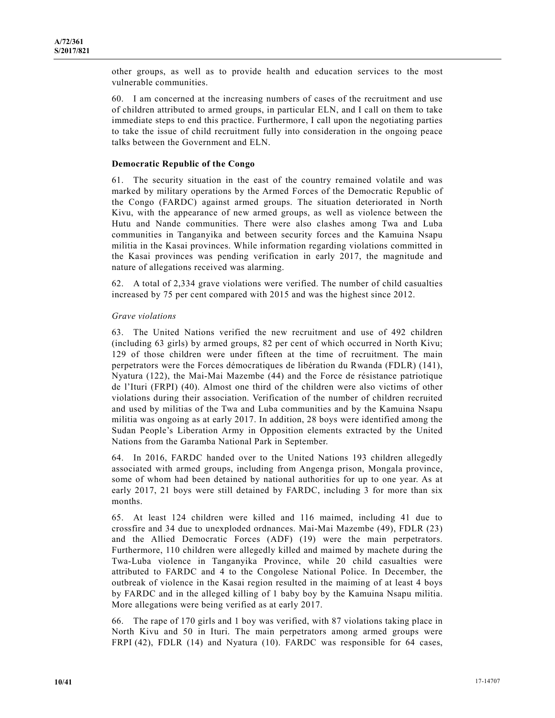other groups, as well as to provide health and education services to the most vulnerable communities.

60. I am concerned at the increasing numbers of cases of the recruitment and use of children attributed to armed groups, in particular ELN, and I call on them to take immediate steps to end this practice. Furthermore, I call upon the negotiating parties to take the issue of child recruitment fully into consideration in the ongoing peace talks between the Government and ELN.

### **Democratic Republic of the Congo**

61. The security situation in the east of the country remained volatile and was marked by military operations by the Armed Forces of the Democratic Republic of the Congo (FARDC) against armed groups. The situation deteriorated in North Kivu, with the appearance of new armed groups, as well as violence between the Hutu and Nande communities. There were also clashes among Twa and Luba communities in Tanganyika and between security forces and the Kamuina Nsapu militia in the Kasai provinces. While information regarding violations committed in the Kasai provinces was pending verification in early 2017, the magnitude and nature of allegations received was alarming.

62. A total of 2,334 grave violations were verified. The number of child casualties increased by 75 per cent compared with 2015 and was the highest since 2012.

#### *Grave violations*

63. The United Nations verified the new recruitment and use of 492 children (including 63 girls) by armed groups, 82 per cent of which occurred in North Kivu; 129 of those children were under fifteen at the time of recruitment. The main perpetrators were the Forces démocratiques de libération du Rwanda (FDLR) (141), Nyatura (122), the Mai-Mai Mazembe (44) and the Force de résistance patriotique de l'Ituri (FRPI) (40). Almost one third of the children were also victims of other violations during their association. Verification of the number of children recruited and used by militias of the Twa and Luba communities and by the Kamuina Nsapu militia was ongoing as at early 2017. In addition, 28 boys were identified among the Sudan People's Liberation Army in Opposition elements extracted by the United Nations from the Garamba National Park in September.

64. In 2016, FARDC handed over to the United Nations 193 children allegedly associated with armed groups, including from Angenga prison, Mongala province, some of whom had been detained by national authorities for up to one year. As at early 2017, 21 boys were still detained by FARDC, including 3 for more than six months.

65. At least 124 children were killed and 116 maimed, including 41 due to crossfire and 34 due to unexploded ordnances. Mai-Mai Mazembe (49), FDLR (23) and the Allied Democratic Forces (ADF) (19) were the main perpetrators. Furthermore, 110 children were allegedly killed and maimed by machete during the Twa-Luba violence in Tanganyika Province, while 20 child casualties were attributed to FARDC and 4 to the Congolese National Police. In December, the outbreak of violence in the Kasai region resulted in the maiming of at least 4 boys by FARDC and in the alleged killing of 1 baby boy by the Kamuina Nsapu militia. More allegations were being verified as at early 2017.

66. The rape of 170 girls and 1 boy was verified, with 87 violations taking place in North Kivu and 50 in Ituri. The main perpetrators among armed groups were FRPI (42), FDLR (14) and Nyatura (10). FARDC was responsible for 64 cases,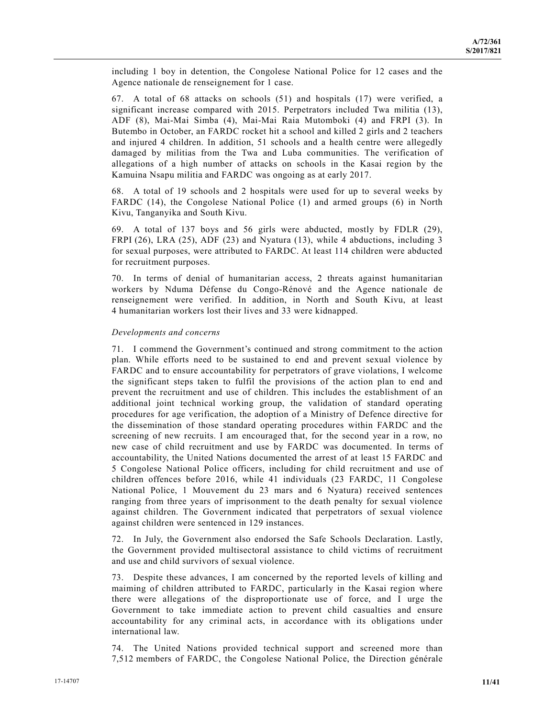including 1 boy in detention, the Congolese National Police for 12 cases and the Agence nationale de renseignement for 1 case.

67. A total of 68 attacks on schools (51) and hospitals (17) were verified, a significant increase compared with 2015. Perpetrators included Twa militia (13), ADF (8), Mai-Mai Simba (4), Mai-Mai Raia Mutomboki (4) and FRPI (3). In Butembo in October, an FARDC rocket hit a school and killed 2 girls and 2 teachers and injured 4 children. In addition, 51 schools and a health centre were allegedly damaged by militias from the Twa and Luba communities. The verification of allegations of a high number of attacks on schools in the Kasai region by the Kamuina Nsapu militia and FARDC was ongoing as at early 2017.

68. A total of 19 schools and 2 hospitals were used for up to several weeks by FARDC (14), the Congolese National Police (1) and armed groups (6) in North Kivu, Tanganyika and South Kivu.

69. A total of 137 boys and 56 girls were abducted, mostly by FDLR (29), FRPI (26), LRA (25), ADF (23) and Nyatura (13), while 4 abductions, including 3 for sexual purposes, were attributed to FARDC. At least 114 children were abducted for recruitment purposes.

70. In terms of denial of humanitarian access, 2 threats against humanitarian workers by Nduma Défense du Congo-Rénové and the Agence nationale de renseignement were verified. In addition, in North and South Kivu, at least 4 humanitarian workers lost their lives and 33 were kidnapped.

#### *Developments and concerns*

71. I commend the Government's continued and strong commitment to the action plan. While efforts need to be sustained to end and prevent sexual violence by FARDC and to ensure accountability for perpetrators of grave violations, I welcome the significant steps taken to fulfil the provisions of the action plan to end and prevent the recruitment and use of children. This includes the establishment of an additional joint technical working group, the validation of standard operating procedures for age verification, the adoption of a Ministry of Defence directive for the dissemination of those standard operating procedures within FARDC and the screening of new recruits. I am encouraged that, for the second year in a row, no new case of child recruitment and use by FARDC was documented. In terms of accountability, the United Nations documented the arrest of at least 15 FARDC and 5 Congolese National Police officers, including for child recruitment and use of children offences before 2016, while 41 individuals (23 FARDC, 11 Congolese National Police, 1 Mouvement du 23 mars and 6 Nyatura) received sentences ranging from three years of imprisonment to the death penalty for sexual violence against children. The Government indicated that perpetrators of sexual violence against children were sentenced in 129 instances.

72. In July, the Government also endorsed the Safe Schools Declaration. Lastly, the Government provided multisectoral assistance to child victims of recruitment and use and child survivors of sexual violence.

73. Despite these advances, I am concerned by the reported levels of killing and maiming of children attributed to FARDC, particularly in the Kasai region where there were allegations of the disproportionate use of force, and I urge the Government to take immediate action to prevent child casualties and ensure accountability for any criminal acts, in accordance with its obligations under international law.

74. The United Nations provided technical support and screened more than 7,512 members of FARDC, the Congolese National Police, the Direction générale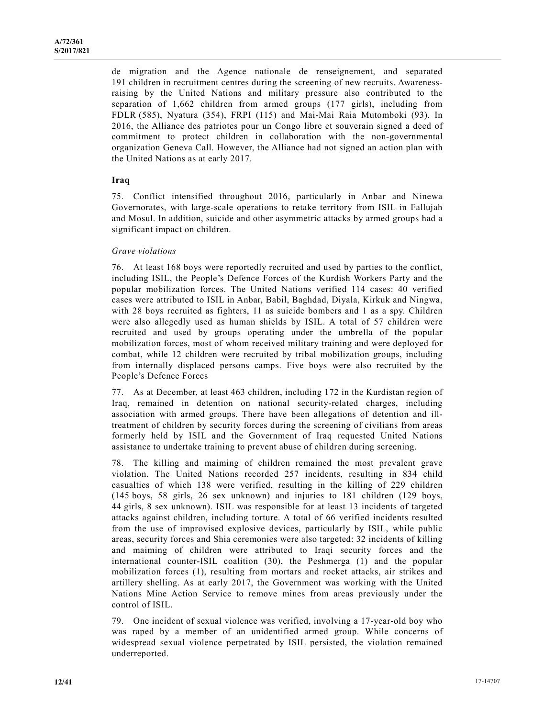de migration and the Agence nationale de renseignement, and separated 191 children in recruitment centres during the screening of new recruits. Awarenessraising by the United Nations and military pressure also contributed to the separation of 1,662 children from armed groups (177 girls), including from FDLR (585), Nyatura (354), FRPI (115) and Mai-Mai Raia Mutomboki (93). In 2016, the Alliance des patriotes pour un Congo libre et souverain signed a deed of commitment to protect children in collaboration with the non-governmental organization Geneva Call. However, the Alliance had not signed an action plan with the United Nations as at early 2017.

## **Iraq**

75. Conflict intensified throughout 2016, particularly in Anbar and Ninewa Governorates, with large-scale operations to retake territory from ISIL in Fallujah and Mosul. In addition, suicide and other asymmetric attacks by armed groups had a significant impact on children.

#### *Grave violations*

76. At least 168 boys were reportedly recruited and used by parties to the conflict, including ISIL, the People's Defence Forces of the Kurdish Workers Party and the popular mobilization forces. The United Nations verified 114 cases: 40 verified cases were attributed to ISIL in Anbar, Babil, Baghdad, Diyala, Kirkuk and Ningwa, with 28 boys recruited as fighters, 11 as suicide bombers and 1 as a spy. Children were also allegedly used as human shields by ISIL. A total of 57 children were recruited and used by groups operating under the umbrella of the popular mobilization forces, most of whom received military training and were deployed for combat, while 12 children were recruited by tribal mobilization groups, including from internally displaced persons camps. Five boys were also recruited by the People's Defence Forces

77. As at December, at least 463 children, including 172 in the Kurdistan region of Iraq, remained in detention on national security-related charges, including association with armed groups. There have been allegations of detention and illtreatment of children by security forces during the screening of civilians from areas formerly held by ISIL and the Government of Iraq requested United Nations assistance to undertake training to prevent abuse of children during screening.

78. The killing and maiming of children remained the most prevalent grave violation. The United Nations recorded 257 incidents, resulting in 834 child casualties of which 138 were verified, resulting in the killing of 229 children (145 boys, 58 girls, 26 sex unknown) and injuries to 181 children (129 boys, 44 girls, 8 sex unknown). ISIL was responsible for at least 13 incidents of targeted attacks against children, including torture. A total of 66 verified incidents resulted from the use of improvised explosive devices, particularly by ISIL, while public areas, security forces and Shia ceremonies were also targeted: 32 incidents of killing and maiming of children were attributed to Iraqi security forces and the international counter-ISIL coalition (30), the Peshmerga (1) and the popular mobilization forces (1), resulting from mortars and rocket attacks, air strikes and artillery shelling. As at early 2017, the Government was working with the United Nations Mine Action Service to remove mines from areas previously under the control of ISIL.

79. One incident of sexual violence was verified, involving a 17-year-old boy who was raped by a member of an unidentified armed group. While concerns of widespread sexual violence perpetrated by ISIL persisted, the violation remained underreported.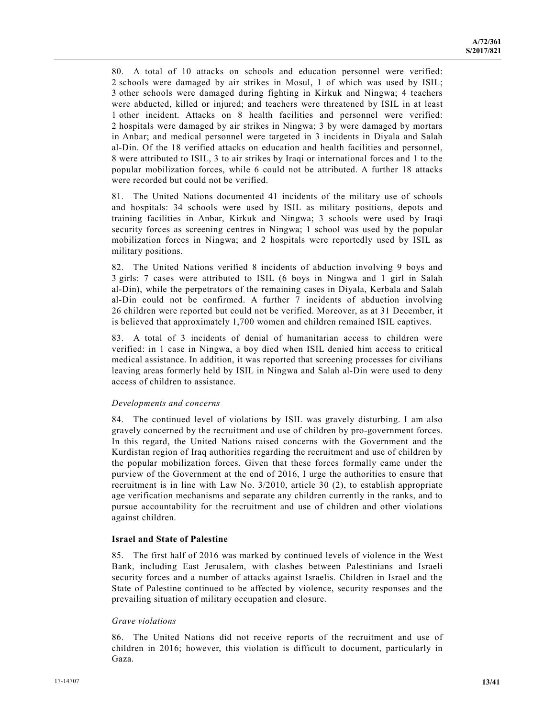80. A total of 10 attacks on schools and education personnel were verified: 2 schools were damaged by air strikes in Mosul, 1 of which was used by ISIL; 3 other schools were damaged during fighting in Kirkuk and Ningwa; 4 teachers were abducted, killed or injured; and teachers were threatened by ISIL in at least 1 other incident. Attacks on 8 health facilities and personnel were verified: 2 hospitals were damaged by air strikes in Ningwa; 3 by were damaged by mortars in Anbar; and medical personnel were targeted in 3 incidents in Diyala and Salah al-Din. Of the 18 verified attacks on education and health facilities and personnel, 8 were attributed to ISIL, 3 to air strikes by Iraqi or international forces and 1 to the popular mobilization forces, while 6 could not be attributed. A further 18 attacks were recorded but could not be verified.

81. The United Nations documented 41 incidents of the military use of schools and hospitals: 34 schools were used by ISIL as military positions, depots and training facilities in Anbar, Kirkuk and Ningwa; 3 schools were used by Iraqi security forces as screening centres in Ningwa; 1 school was used by the popular mobilization forces in Ningwa; and 2 hospitals were reportedly used by ISIL as military positions.

82. The United Nations verified 8 incidents of abduction involving 9 boys and 3 girls: 7 cases were attributed to ISIL (6 boys in Ningwa and 1 girl in Salah al-Din), while the perpetrators of the remaining cases in Diyala, Kerbala and Salah al-Din could not be confirmed. A further 7 incidents of abduction involving 26 children were reported but could not be verified. Moreover, as at 31 December, it is believed that approximately 1,700 women and children remained ISIL captives.

83. A total of 3 incidents of denial of humanitarian access to children were verified: in 1 case in Ningwa, a boy died when ISIL denied him access to critical medical assistance. In addition, it was reported that screening processes for civilians leaving areas formerly held by ISIL in Ningwa and Salah al-Din were used to deny access of children to assistance.

#### *Developments and concerns*

84. The continued level of violations by ISIL was gravely disturbing. I am also gravely concerned by the recruitment and use of children by pro-government forces. In this regard, the United Nations raised concerns with the Government and the Kurdistan region of Iraq authorities regarding the recruitment and use of children by the popular mobilization forces. Given that these forces formally came under the purview of the Government at the end of 2016, I urge the authorities to ensure that recruitment is in line with Law No. 3/2010, article 30 (2), to establish appropriate age verification mechanisms and separate any children currently in the ranks, and to pursue accountability for the recruitment and use of children and other violations against children.

## **Israel and State of Palestine**

85. The first half of 2016 was marked by continued levels of violence in the West Bank, including East Jerusalem, with clashes between Palestinians and Israeli security forces and a number of attacks against Israelis. Children in Israel and the State of Palestine continued to be affected by violence, security responses and the prevailing situation of military occupation and closure.

#### *Grave violations*

86. The United Nations did not receive reports of the recruitment and use of children in 2016; however, this violation is difficult to document, particularly in Gaza.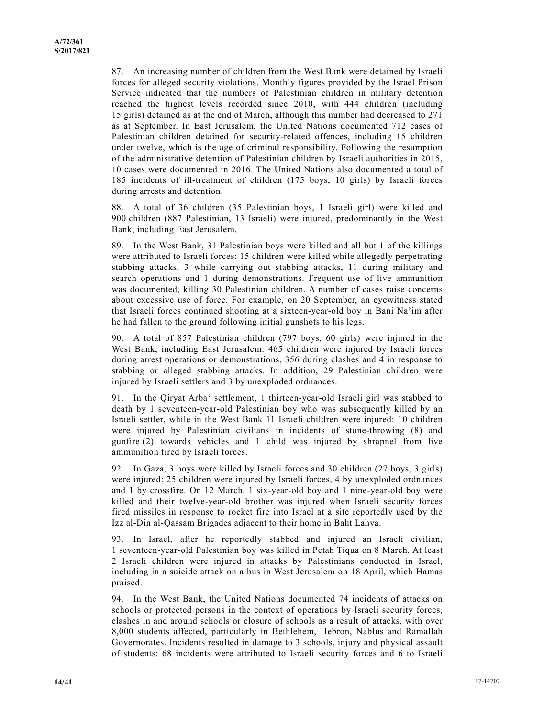87. An increasing number of children from the West Bank were detained by Israeli forces for alleged security violations. Monthly figures provided by the Israel Prison Service indicated that the numbers of Palestinian children in military detention reached the highest levels recorded since 2010, with 444 children (including 15 girls) detained as at the end of March, although this number had decreased to 271 as at September. In East Jerusalem, the United Nations documented 712 cases of Palestinian children detained for security-related offences, including 15 children under twelve, which is the age of criminal responsibility. Following the resumption of the administrative detention of Palestinian children by Israeli authorities in 2015, 10 cases were documented in 2016. The United Nations also documented a total of 185 incidents of ill-treatment of children (175 boys, 10 girls) by Israeli forces during arrests and detention.

88. A total of 36 children (35 Palestinian boys, 1 Israeli girl) were killed and 900 children (887 Palestinian, 13 Israeli) were injured, predominantly in the West Bank, including East Jerusalem.

89. In the West Bank, 31 Palestinian boys were killed and all but 1 of the killings were attributed to Israeli forces: 15 children were killed while allegedly perpetrating stabbing attacks, 3 while carrying out stabbing attacks, 11 during military and search operations and 1 during demonstrations. Frequent use of live ammunition was documented, killing 30 Palestinian children. A number of cases raise concerns about excessive use of force. For example, on 20 September, an eyewitness stated that Israeli forces continued shooting at a sixteen-year-old boy in Bani Na'im after he had fallen to the ground following initial gunshots to his legs.

90. A total of 857 Palestinian children (797 boys, 60 girls) were injured in the West Bank, including East Jerusalem: 465 children were injured by Israeli forces during arrest operations or demonstrations, 356 during clashes and 4 in response to stabbing or alleged stabbing attacks. In addition, 29 Palestinian children were injured by Israeli settlers and 3 by unexploded ordnances.

91. In the Qiryat Arba' settlement, 1 thirteen-year-old Israeli girl was stabbed to death by 1 seventeen-year-old Palestinian boy who was subsequently killed by an Israeli settler, while in the West Bank 11 Israeli children were injured: 10 children were injured by Palestinian civilians in incidents of stone-throwing (8) and gunfire (2) towards vehicles and 1 child was injured by shrapnel from live ammunition fired by Israeli forces.

92. In Gaza, 3 boys were killed by Israeli forces and 30 children (27 boys, 3 girls) were injured: 25 children were injured by Israeli forces, 4 by unexploded ordnances and 1 by crossfire. On 12 March, 1 six-year-old boy and 1 nine-year-old boy were killed and their twelve-year-old brother was injured when Israeli security forces fired missiles in response to rocket fire into Israel at a site reportedly used by the Izz al-Din al-Qassam Brigades adjacent to their home in Baht Lahya.

93. In Israel, after he reportedly stabbed and injured an Israeli civilian, 1 seventeen-year-old Palestinian boy was killed in Petah Tiqua on 8 March. At least 2 Israeli children were injured in attacks by Palestinians conducted in Israel, including in a suicide attack on a bus in West Jerusalem on 18 April, which Hamas praised.

94. In the West Bank, the United Nations documented 74 incidents of attacks on schools or protected persons in the context of operations by Israeli security forces, clashes in and around schools or closure of schools as a result of attacks, with over 8,000 students affected, particularly in Bethlehem, Hebron, Nablus and Ramallah Governorates. Incidents resulted in damage to 3 schools, injury and physical assault of students: 68 incidents were attributed to Israeli security forces and 6 to Israeli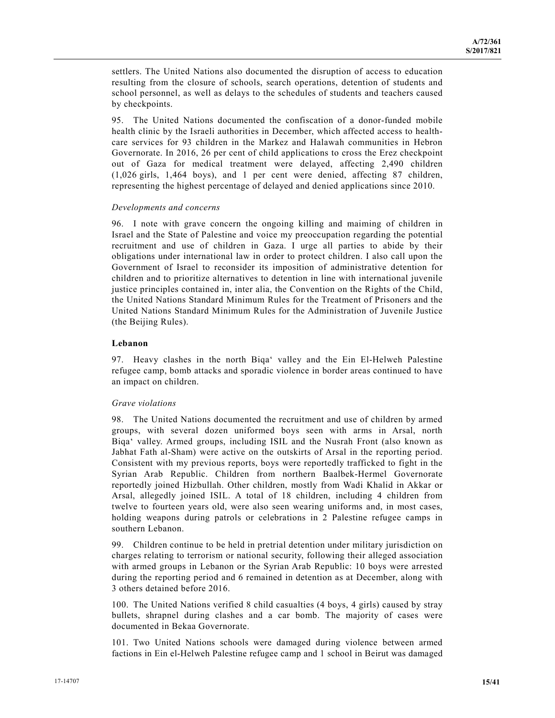settlers. The United Nations also documented the disruption of access to education resulting from the closure of schools, search operations, detention of students and school personnel, as well as delays to the schedules of students and teachers caused by checkpoints.

95. The United Nations documented the confiscation of a donor-funded mobile health clinic by the Israeli authorities in December, which affected access to healthcare services for 93 children in the Markez and Halawah communities in Hebron Governorate. In 2016, 26 per cent of child applications to cross the Erez checkpoint out of Gaza for medical treatment were delayed, affecting 2,490 children (1,026 girls, 1,464 boys), and 1 per cent were denied, affecting 87 children, representing the highest percentage of delayed and denied applications since 2010.

#### *Developments and concerns*

96. I note with grave concern the ongoing killing and maiming of children in Israel and the State of Palestine and voice my preoccupation regarding the potential recruitment and use of children in Gaza. I urge all parties to abide by their obligations under international law in order to protect children. I also call upon the Government of Israel to reconsider its imposition of administrative detention for children and to prioritize alternatives to detention in line with international juvenile justice principles contained in, inter alia, the Convention on the Rights of the Child, the United Nations Standard Minimum Rules for the Treatment of Prisoners and the United Nations Standard Minimum Rules for the Administration of Juvenile Justice (the Beijing Rules).

### **Lebanon**

97. Heavy clashes in the north Biqa' valley and the Ein El-Helweh Palestine refugee camp, bomb attacks and sporadic violence in border areas continued to have an impact on children.

#### *Grave violations*

98. The United Nations documented the recruitment and use of children by armed groups, with several dozen uniformed boys seen with arms in Arsal, north Biqa' valley. Armed groups, including ISIL and the Nusrah Front (also known as Jabhat Fath al-Sham) were active on the outskirts of Arsal in the reporting period. Consistent with my previous reports, boys were reportedly trafficked to fight in the Syrian Arab Republic. Children from northern Baalbek-Hermel Governorate reportedly joined Hizbullah. Other children, mostly from Wadi Khalid in Akkar or Arsal, allegedly joined ISIL. A total of 18 children, including 4 children from twelve to fourteen years old, were also seen wearing uniforms and, in most cases, holding weapons during patrols or celebrations in 2 Palestine refugee camps in southern Lebanon.

99. Children continue to be held in pretrial detention under military jurisdiction on charges relating to terrorism or national security, following their alleged association with armed groups in Lebanon or the Syrian Arab Republic: 10 boys were arrested during the reporting period and 6 remained in detention as at December, along with 3 others detained before 2016.

100. The United Nations verified 8 child casualties (4 boys, 4 girls) caused by stray bullets, shrapnel during clashes and a car bomb. The majority of cases were documented in Bekaa Governorate.

101. Two United Nations schools were damaged during violence between armed factions in Ein el-Helweh Palestine refugee camp and 1 school in Beirut was damaged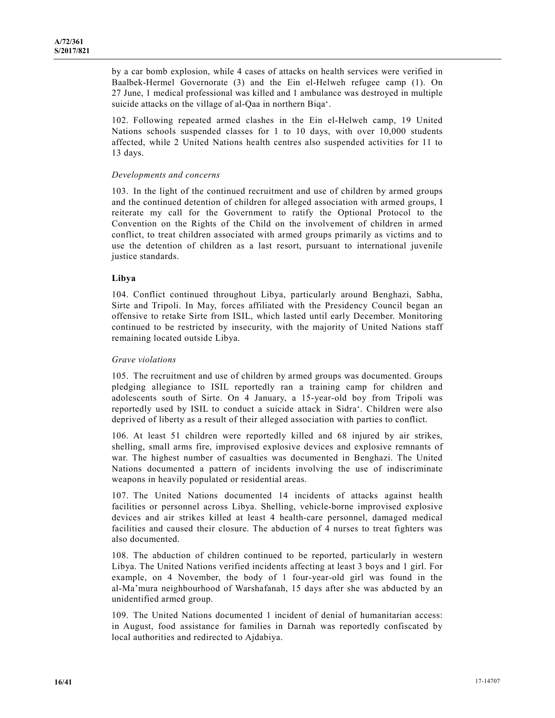by a car bomb explosion, while 4 cases of attacks on health services were verified in Baalbek-Hermel Governorate (3) and the Ein el-Helweh refugee camp (1). On 27 June, 1 medical professional was killed and 1 ambulance was destroyed in multiple suicide attacks on the village of al-Qaa in northern Biqa'.

102. Following repeated armed clashes in the Ein el-Helweh camp, 19 United Nations schools suspended classes for 1 to 10 days, with over 10,000 students affected, while 2 United Nations health centres also suspended activities for 11 to 13 days.

#### *Developments and concerns*

103. In the light of the continued recruitment and use of children by armed groups and the continued detention of children for alleged association with armed groups, I reiterate my call for the Government to ratify the Optional Protocol to the Convention on the Rights of the Child on the involvement of children in armed conflict, to treat children associated with armed groups primarily as victims and to use the detention of children as a last resort, pursuant to international juvenile justice standards.

#### **Libya**

104. Conflict continued throughout Libya, particularly around Benghazi, Sabha, Sirte and Tripoli. In May, forces affiliated with the Presidency Council began an offensive to retake Sirte from ISIL, which lasted until early December. Monitoring continued to be restricted by insecurity, with the majority of United Nations staff remaining located outside Libya.

#### *Grave violations*

105. The recruitment and use of children by armed groups was documented. Groups pledging allegiance to ISIL reportedly ran a training camp for children and adolescents south of Sirte. On 4 January, a 15-year-old boy from Tripoli was reportedly used by ISIL to conduct a suicide attack in Sidra'. Children were also deprived of liberty as a result of their alleged association with parties to conflict.

106. At least 51 children were reportedly killed and 68 injured by air strikes, shelling, small arms fire, improvised explosive devices and explosive remnants of war. The highest number of casualties was documented in Benghazi. The United Nations documented a pattern of incidents involving the use of indiscriminate weapons in heavily populated or residential areas.

107. The United Nations documented 14 incidents of attacks against health facilities or personnel across Libya. Shelling, vehicle-borne improvised explosive devices and air strikes killed at least 4 health-care personnel, damaged medical facilities and caused their closure. The abduction of 4 nurses to treat fighters was also documented.

108. The abduction of children continued to be reported, particularly in western Libya. The United Nations verified incidents affecting at least 3 boys and 1 girl. For example, on 4 November, the body of 1 four-year-old girl was found in the al-Ma'mura neighbourhood of Warshafanah, 15 days after she was abducted by an unidentified armed group.

109. The United Nations documented 1 incident of denial of humanitarian access: in August, food assistance for families in Darnah was reportedly confiscated by local authorities and redirected to Ajdabiya.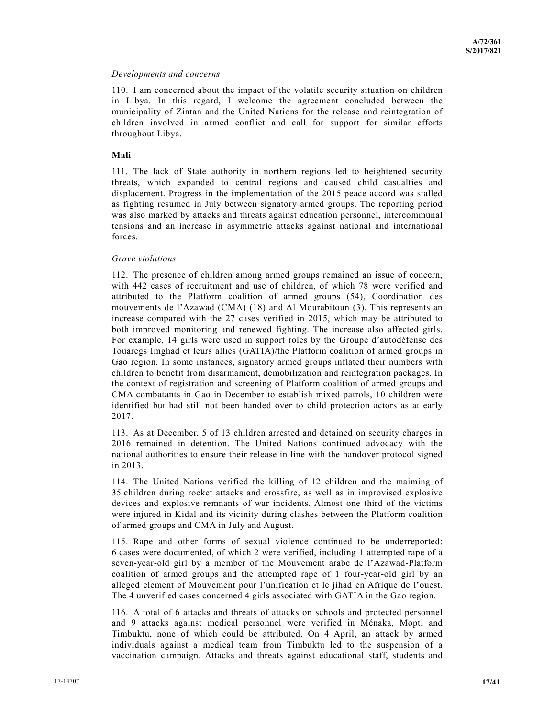#### *Developments and concerns*

110. I am concerned about the impact of the volatile security situation on children in Libya. In this regard, I welcome the agreement concluded between the municipality of Zintan and the United Nations for the release and reintegration of children involved in armed conflict and call for support for similar efforts throughout Libya.

#### **Mali**

111. The lack of State authority in northern regions led to heightened security threats, which expanded to central regions and caused child casualties and displacement. Progress in the implementation of the 2015 peace accord was stalled as fighting resumed in July between signatory armed groups. The reporting period was also marked by attacks and threats against education personnel, intercommunal tensions and an increase in asymmetric attacks against national and international forces.

#### *Grave violations*

112. The presence of children among armed groups remained an issue of concern, with 442 cases of recruitment and use of children, of which 78 were verified and attributed to the Platform coalition of armed groups (54), Coordination des mouvements de l'Azawad (CMA) (18) and Al Mourabitoun (3). This represents an increase compared with the 27 cases verified in 2015, which may be attributed to both improved monitoring and renewed fighting. The increase also affected girls. For example, 14 girls were used in support roles by the Groupe d'autodéfense des Touaregs Imghad et leurs alliés (GATIA)/the Platform coalition of armed groups in Gao region. In some instances, signatory armed groups inflated their numbers with children to benefit from disarmament, demobilization and reintegration packages. In the context of registration and screening of Platform coalition of armed groups and CMA combatants in Gao in December to establish mixed patrols, 10 children were identified but had still not been handed over to child protection actors as at early 2017.

113. As at December, 5 of 13 children arrested and detained on security charges in 2016 remained in detention. The United Nations continued advocacy with the national authorities to ensure their release in line with the handover protocol signed in 2013.

114. The United Nations verified the killing of 12 children and the maiming of 35 children during rocket attacks and crossfire, as well as in improvised explosive devices and explosive remnants of war incidents. Almost one third of the victims were injured in Kidal and its vicinity during clashes between the Platform coalition of armed groups and CMA in July and August.

115. Rape and other forms of sexual violence continued to be underreported: 6 cases were documented, of which 2 were verified, including 1 attempted rape of a seven-year-old girl by a member of the Mouvement arabe de l'Azawad-Platform coalition of armed groups and the attempted rape of 1 four-year-old girl by an alleged element of Mouvement pour l'unification et le jihad en Afrique de l'ouest. The 4 unverified cases concerned 4 girls associated with GATIA in the Gao region.

116. A total of 6 attacks and threats of attacks on schools and protected personnel and 9 attacks against medical personnel were verified in Ménaka, Mopti and Timbuktu, none of which could be attributed. On 4 April, an attack by armed individuals against a medical team from Timbuktu led to the suspension of a vaccination campaign. Attacks and threats against educational staff, students and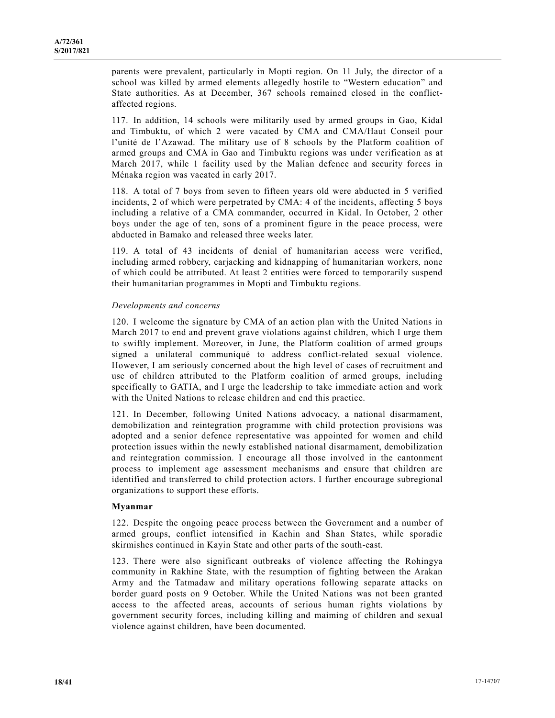parents were prevalent, particularly in Mopti region. On 11 July, the director of a school was killed by armed elements allegedly hostile to "Western education" and State authorities. As at December, 367 schools remained closed in the conflictaffected regions.

117. In addition, 14 schools were militarily used by armed groups in Gao, Kidal and Timbuktu, of which 2 were vacated by CMA and CMA/Haut Conseil pour l'unité de l'Azawad. The military use of 8 schools by the Platform coalition of armed groups and CMA in Gao and Timbuktu regions was under verification as at March 2017, while 1 facility used by the Malian defence and security forces in Ménaka region was vacated in early 2017.

118. A total of 7 boys from seven to fifteen years old were abducted in 5 verified incidents, 2 of which were perpetrated by CMA: 4 of the incidents, affecting 5 boys including a relative of a CMA commander, occurred in Kidal. In October, 2 other boys under the age of ten, sons of a prominent figure in the peace process, were abducted in Bamako and released three weeks later.

119. A total of 43 incidents of denial of humanitarian access were verified, including armed robbery, carjacking and kidnapping of humanitarian workers, none of which could be attributed. At least 2 entities were forced to temporarily suspend their humanitarian programmes in Mopti and Timbuktu regions.

#### *Developments and concerns*

120. I welcome the signature by CMA of an action plan with the United Nations in March 2017 to end and prevent grave violations against children, which I urge them to swiftly implement. Moreover, in June, the Platform coalition of armed groups signed a unilateral communiqué to address conflict-related sexual violence. However, I am seriously concerned about the high level of cases of recruitment and use of children attributed to the Platform coalition of armed groups, including specifically to GATIA, and I urge the leadership to take immediate action and work with the United Nations to release children and end this practice.

121. In December, following United Nations advocacy, a national disarmament, demobilization and reintegration programme with child protection provisions was adopted and a senior defence representative was appointed for women and child protection issues within the newly established national disarmament, demobilization and reintegration commission. I encourage all those involved in the cantonment process to implement age assessment mechanisms and ensure that children are identified and transferred to child protection actors. I further encourage subregional organizations to support these efforts.

## **Myanmar**

122. Despite the ongoing peace process between the Government and a number of armed groups, conflict intensified in Kachin and Shan States, while sporadic skirmishes continued in Kayin State and other parts of the south-east.

123. There were also significant outbreaks of violence affecting the Rohingya community in Rakhine State, with the resumption of fighting between the Arakan Army and the Tatmadaw and military operations following separate attacks on border guard posts on 9 October. While the United Nations was not been granted access to the affected areas, accounts of serious human rights violations by government security forces, including killing and maiming of children and sexual violence against children, have been documented.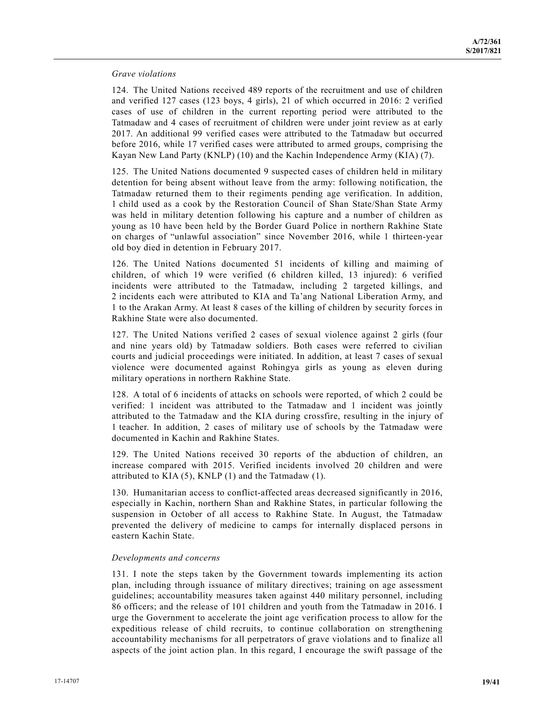#### *Grave violations*

124. The United Nations received 489 reports of the recruitment and use of children and verified 127 cases (123 boys, 4 girls), 21 of which occurred in 2016: 2 verified cases of use of children in the current reporting period were attributed to the Tatmadaw and 4 cases of recruitment of children were under joint review as at early 2017. An additional 99 verified cases were attributed to the Tatmadaw but occurred before 2016, while 17 verified cases were attributed to armed groups, comprising the Kayan New Land Party (KNLP) (10) and the Kachin Independence Army (KIA) (7).

125. The United Nations documented 9 suspected cases of children held in military detention for being absent without leave from the army: following notification, the Tatmadaw returned them to their regiments pending age verification. In addition, 1 child used as a cook by the Restoration Council of Shan State/Shan State Army was held in military detention following his capture and a number of children as young as 10 have been held by the Border Guard Police in northern Rakhine State on charges of "unlawful association" since November 2016, while 1 thirteen-year old boy died in detention in February 2017.

126. The United Nations documented 51 incidents of killing and maiming of children, of which 19 were verified (6 children killed, 13 injured): 6 verified incidents were attributed to the Tatmadaw, including 2 targeted killings, and 2 incidents each were attributed to KIA and Ta'ang National Liberation Army, and 1 to the Arakan Army. At least 8 cases of the killing of children by security forces in Rakhine State were also documented.

127. The United Nations verified 2 cases of sexual violence against 2 girls (four and nine years old) by Tatmadaw soldiers. Both cases were referred to civilian courts and judicial proceedings were initiated. In addition, at least 7 cases of sexual violence were documented against Rohingya girls as young as eleven during military operations in northern Rakhine State.

128. A total of 6 incidents of attacks on schools were reported, of which 2 could be verified: 1 incident was attributed to the Tatmadaw and 1 incident was jointly attributed to the Tatmadaw and the KIA during crossfire, resulting in the injury of 1 teacher. In addition, 2 cases of military use of schools by the Tatmadaw were documented in Kachin and Rakhine States.

129. The United Nations received 30 reports of the abduction of children, an increase compared with 2015. Verified incidents involved 20 children and were attributed to KIA  $(5)$ , KNLP  $(1)$  and the Tatmadaw  $(1)$ .

130. Humanitarian access to conflict-affected areas decreased significantly in 2016, especially in Kachin, northern Shan and Rakhine States, in particular following the suspension in October of all access to Rakhine State. In August, the Tatmadaw prevented the delivery of medicine to camps for internally displaced persons in eastern Kachin State.

#### *Developments and concerns*

131. I note the steps taken by the Government towards implementing its action plan, including through issuance of military directives; training on age assessment guidelines; accountability measures taken against 440 military personnel, including 86 officers; and the release of 101 children and youth from the Tatmadaw in 2016. I urge the Government to accelerate the joint age verification process to allow for the expeditious release of child recruits, to continue collaboration on strengthening accountability mechanisms for all perpetrators of grave violations and to finalize all aspects of the joint action plan. In this regard, I encourage the swift passage of the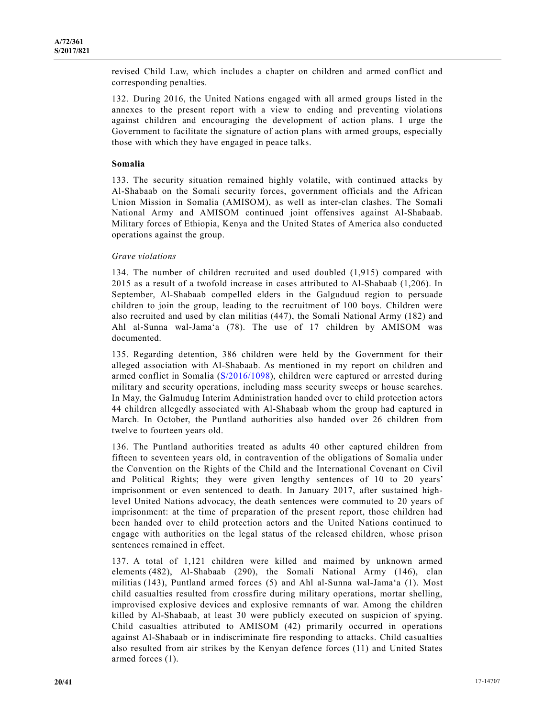revised Child Law, which includes a chapter on children and armed conflict and corresponding penalties.

132. During 2016, the United Nations engaged with all armed groups listed in the annexes to the present report with a view to ending and preventing violations against children and encouraging the development of action plans. I urge the Government to facilitate the signature of action plans with armed groups, especially those with which they have engaged in peace talks.

### **Somalia**

133. The security situation remained highly volatile, with continued attacks by Al-Shabaab on the Somali security forces, government officials and the African Union Mission in Somalia (AMISOM), as well as inter-clan clashes. The Somali National Army and AMISOM continued joint offensives against Al-Shabaab. Military forces of Ethiopia, Kenya and the United States of America also conducted operations against the group.

#### *Grave violations*

134. The number of children recruited and used doubled (1,915) compared with 2015 as a result of a twofold increase in cases attributed to Al-Shabaab (1,206). In September, Al-Shabaab compelled elders in the Galguduud region to persuade children to join the group, leading to the recruitment of 100 boys. Children were also recruited and used by clan militias (447), the Somali National Army (182) and Ahl al-Sunna wal-Jama'a (78). The use of 17 children by AMISOM was documented.

135. Regarding detention, 386 children were held by the Government for their alleged association with Al-Shabaab. As mentioned in my report on children and armed conflict in Somalia (S/2016/1098), children were captured or arrested during military and security operations, including mass security sweeps or house searches. In May, the Galmudug Interim Administration handed over to child protection actors 44 children allegedly associated with Al-Shabaab whom the group had captured in March. In October, the Puntland authorities also handed over 26 children from twelve to fourteen years old.

136. The Puntland authorities treated as adults 40 other captured children from fifteen to seventeen years old, in contravention of the obligations of Somalia under the Convention on the Rights of the Child and the International Covenant on Civil and Political Rights; they were given lengthy sentences of 10 to 20 years' imprisonment or even sentenced to death. In January 2017, after sustained highlevel United Nations advocacy, the death sentences were commuted to 20 years of imprisonment: at the time of preparation of the present report, those children had been handed over to child protection actors and the United Nations continued to engage with authorities on the legal status of the released children, whose prison sentences remained in effect.

137. A total of 1,121 children were killed and maimed by unknown armed elements (482), Al-Shabaab (290), the Somali National Army (146), clan militias (143), Puntland armed forces (5) and Ahl al-Sunna wal-Jama'a (1). Most child casualties resulted from crossfire during military operations, mortar shelling, improvised explosive devices and explosive remnants of war. Among the children killed by Al-Shabaab, at least 30 were publicly executed on suspicion of spying. Child casualties attributed to AMISOM (42) primarily occurred in operations against Al-Shabaab or in indiscriminate fire responding to attacks. Child casualties also resulted from air strikes by the Kenyan defence forces (11) and United States armed forces (1).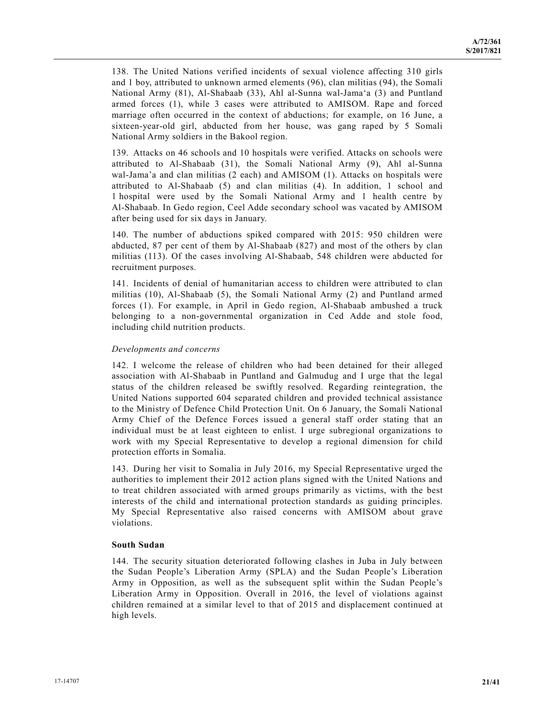138. The United Nations verified incidents of sexual violence affecting 310 girls and 1 boy, attributed to unknown armed elements (96), clan militias (94), the Somali National Army (81), Al-Shabaab (33), Ahl al-Sunna wal-Jama'a (3) and Puntland armed forces (1), while 3 cases were attributed to AMISOM. Rape and forced marriage often occurred in the context of abductions; for example, on 16 June, a sixteen-year-old girl, abducted from her house, was gang raped by 5 Somali National Army soldiers in the Bakool region.

139. Attacks on 46 schools and 10 hospitals were verified. Attacks on schools were attributed to Al-Shabaab (31), the Somali National Army (9), Ahl al-Sunna wal-Jama'a and clan militias (2 each) and AMISOM (1). Attacks on hospitals were attributed to Al-Shabaab (5) and clan militias (4). In addition, 1 school and 1 hospital were used by the Somali National Army and 1 health centre by Al-Shabaab. In Gedo region, Ceel Adde secondary school was vacated by AMISOM after being used for six days in January.

140. The number of abductions spiked compared with 2015: 950 children were abducted, 87 per cent of them by Al-Shabaab (827) and most of the others by clan militias (113). Of the cases involving Al-Shabaab, 548 children were abducted for recruitment purposes.

141. Incidents of denial of humanitarian access to children were attributed to clan militias (10), Al-Shabaab (5), the Somali National Army (2) and Puntland armed forces (1). For example, in April in Gedo region, Al-Shabaab ambushed a truck belonging to a non-governmental organization in Ced Adde and stole food, including child nutrition products.

#### *Developments and concerns*

142. I welcome the release of children who had been detained for their alleged association with Al-Shabaab in Puntland and Galmudug and I urge that the legal status of the children released be swiftly resolved. Regarding reintegration, the United Nations supported 604 separated children and provided technical assistance to the Ministry of Defence Child Protection Unit. On 6 January, the Somali National Army Chief of the Defence Forces issued a general staff order stating that an individual must be at least eighteen to enlist. I urge subregional organizations to work with my Special Representative to develop a regional dimension for child protection efforts in Somalia.

143. During her visit to Somalia in July 2016, my Special Representative urged the authorities to implement their 2012 action plans signed with the United Nations and to treat children associated with armed groups primarily as victims, with the best interests of the child and international protection standards as guiding principles. My Special Representative also raised concerns with AMISOM about grave violations.

## **South Sudan**

144. The security situation deteriorated following clashes in Juba in July between the Sudan People's Liberation Army (SPLA) and the Sudan People's Liberation Army in Opposition, as well as the subsequent split within the Sudan People's Liberation Army in Opposition. Overall in 2016, the level of violations against children remained at a similar level to that of 2015 and displacement continued at high levels.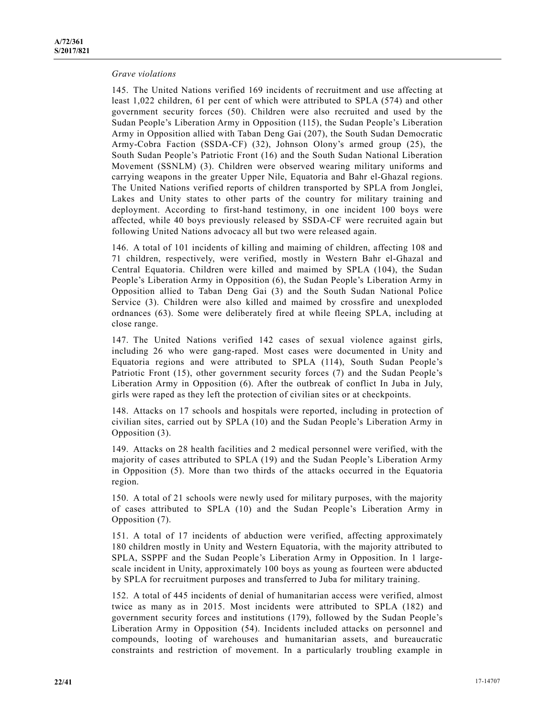#### *Grave violations*

145. The United Nations verified 169 incidents of recruitment and use affecting at least 1,022 children, 61 per cent of which were attributed to SPLA (574) and other government security forces (50). Children were also recruited and used by the Sudan People's Liberation Army in Opposition (115), the Sudan People's Liberation Army in Opposition allied with Taban Deng Gai (207), the South Sudan Democratic Army-Cobra Faction (SSDA-CF) (32), Johnson Olony's armed group (25), the South Sudan People's Patriotic Front (16) and the South Sudan National Liberation Movement (SSNLM) (3). Children were observed wearing military uniforms and carrying weapons in the greater Upper Nile, Equatoria and Bahr el-Ghazal regions. The United Nations verified reports of children transported by SPLA from Jonglei, Lakes and Unity states to other parts of the country for military training and deployment. According to first-hand testimony, in one incident 100 boys were affected, while 40 boys previously released by SSDA-CF were recruited again but following United Nations advocacy all but two were released again.

146. A total of 101 incidents of killing and maiming of children, affecting 108 and 71 children, respectively, were verified, mostly in Western Bahr el-Ghazal and Central Equatoria. Children were killed and maimed by SPLA (104), the Sudan People's Liberation Army in Opposition (6), the Sudan People's Liberation Army in Opposition allied to Taban Deng Gai (3) and the South Sudan National Police Service (3). Children were also killed and maimed by crossfire and unexploded ordnances (63). Some were deliberately fired at while fleeing SPLA, including at close range.

147. The United Nations verified 142 cases of sexual violence against girls, including 26 who were gang-raped. Most cases were documented in Unity and Equatoria regions and were attributed to SPLA (114), South Sudan People's Patriotic Front (15), other government security forces (7) and the Sudan People's Liberation Army in Opposition (6). After the outbreak of conflict In Juba in July, girls were raped as they left the protection of civilian sites or at checkpoints.

148. Attacks on 17 schools and hospitals were reported, including in protection of civilian sites, carried out by SPLA (10) and the Sudan People's Liberation Army in Opposition (3).

149. Attacks on 28 health facilities and 2 medical personnel were verified, with the majority of cases attributed to SPLA (19) and the Sudan People's Liberation Army in Opposition (5). More than two thirds of the attacks occurred in the Equatoria region.

150. A total of 21 schools were newly used for military purposes, with the majority of cases attributed to SPLA (10) and the Sudan People's Liberation Army in Opposition (7).

151. A total of 17 incidents of abduction were verified, affecting approximately 180 children mostly in Unity and Western Equatoria, with the majority attributed to SPLA, SSPPF and the Sudan People's Liberation Army in Opposition. In 1 largescale incident in Unity, approximately 100 boys as young as fourteen were abducted by SPLA for recruitment purposes and transferred to Juba for military training.

152. A total of 445 incidents of denial of humanitarian access were verified, almost twice as many as in 2015. Most incidents were attributed to SPLA (182) and government security forces and institutions (179), followed by the Sudan People's Liberation Army in Opposition (54). Incidents included attacks on personnel and compounds, looting of warehouses and humanitarian assets, and bureaucratic constraints and restriction of movement. In a particularly troubling example in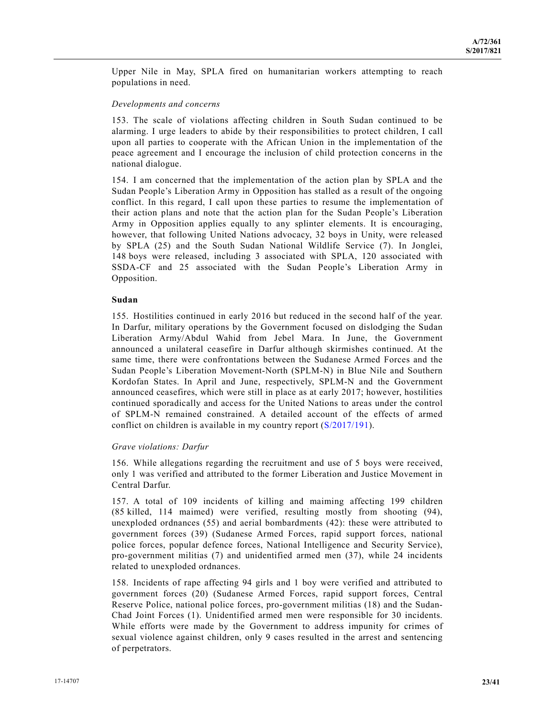Upper Nile in May, SPLA fired on humanitarian workers attempting to reach populations in need.

### *Developments and concerns*

153. The scale of violations affecting children in South Sudan continued to be alarming. I urge leaders to abide by their responsibilities to protect children, I call upon all parties to cooperate with the African Union in the implementation of the peace agreement and I encourage the inclusion of child protection concerns in the national dialogue.

154. I am concerned that the implementation of the action plan by SPLA and the Sudan People's Liberation Army in Opposition has stalled as a result of the ongoing conflict. In this regard, I call upon these parties to resume the implementation of their action plans and note that the action plan for the Sudan People's Liberation Army in Opposition applies equally to any splinter elements. It is encouraging, however, that following United Nations advocacy, 32 boys in Unity, were released by SPLA (25) and the South Sudan National Wildlife Service (7). In Jonglei, 148 boys were released, including 3 associated with SPLA, 120 associated with SSDA-CF and 25 associated with the Sudan People's Liberation Army in Opposition.

## **Sudan**

155. Hostilities continued in early 2016 but reduced in the second half of the year. In Darfur, military operations by the Government focused on dislodging the Sudan Liberation Army/Abdul Wahid from Jebel Mara. In June, the Government announced a unilateral ceasefire in Darfur although skirmishes continued. At the same time, there were confrontations between the Sudanese Armed Forces and the Sudan People's Liberation Movement-North (SPLM-N) in Blue Nile and Southern Kordofan States. In April and June, respectively, SPLM-N and the Government announced ceasefires, which were still in place as at early 2017; however, hostilities continued sporadically and access for the United Nations to areas under the control of SPLM-N remained constrained. A detailed account of the effects of armed conflict on children is available in my country report (S/2017/191).

## *Grave violations: Darfur*

156. While allegations regarding the recruitment and use of 5 boys were received, only 1 was verified and attributed to the former Liberation and Justice Movement in Central Darfur.

157. A total of 109 incidents of killing and maiming affecting 199 children (85 killed, 114 maimed) were verified, resulting mostly from shooting (94), unexploded ordnances (55) and aerial bombardments (42): these were attributed to government forces (39) (Sudanese Armed Forces, rapid support forces, national police forces, popular defence forces, National Intelligence and Security Service), pro-government militias (7) and unidentified armed men (37), while 24 incidents related to unexploded ordnances.

158. Incidents of rape affecting 94 girls and 1 boy were verified and attributed to government forces (20) (Sudanese Armed Forces, rapid support forces, Central Reserve Police, national police forces, pro-government militias (18) and the Sudan-Chad Joint Forces (1). Unidentified armed men were responsible for 30 incidents. While efforts were made by the Government to address impunity for crimes of sexual violence against children, only 9 cases resulted in the arrest and sentencing of perpetrators.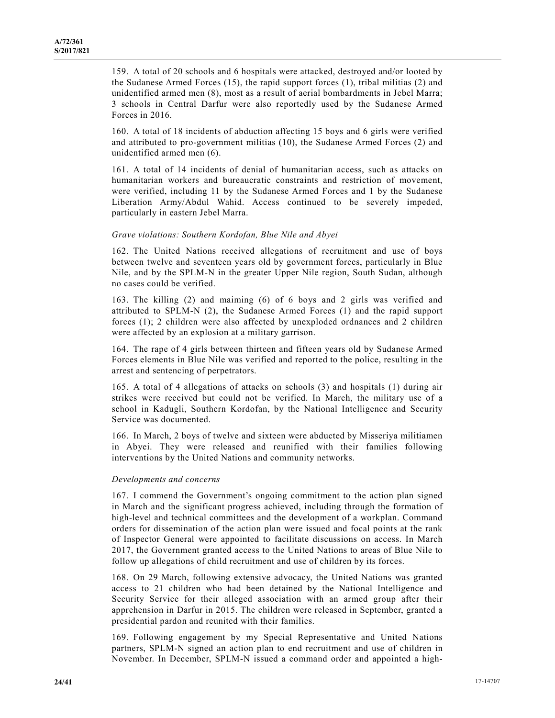159. A total of 20 schools and 6 hospitals were attacked, destroyed and/or looted by the Sudanese Armed Forces (15), the rapid support forces (1), tribal militias (2) and unidentified armed men (8), most as a result of aerial bombardments in Jebel Marra; 3 schools in Central Darfur were also reportedly used by the Sudanese Armed Forces in 2016.

160. A total of 18 incidents of abduction affecting 15 boys and 6 girls were verified and attributed to pro-government militias (10), the Sudanese Armed Forces (2) and unidentified armed men (6).

161. A total of 14 incidents of denial of humanitarian access, such as attacks on humanitarian workers and bureaucratic constraints and restriction of movement, were verified, including 11 by the Sudanese Armed Forces and 1 by the Sudanese Liberation Army/Abdul Wahid. Access continued to be severely impeded, particularly in eastern Jebel Marra.

#### *Grave violations: Southern Kordofan, Blue Nile and Abyei*

162. The United Nations received allegations of recruitment and use of boys between twelve and seventeen years old by government forces, particularly in Blue Nile, and by the SPLM-N in the greater Upper Nile region, South Sudan, although no cases could be verified.

163. The killing (2) and maiming (6) of 6 boys and 2 girls was verified and attributed to SPLM-N (2), the Sudanese Armed Forces (1) and the rapid support forces (1); 2 children were also affected by unexploded ordnances and 2 children were affected by an explosion at a military garrison.

164. The rape of 4 girls between thirteen and fifteen years old by Sudanese Armed Forces elements in Blue Nile was verified and reported to the police, resulting in the arrest and sentencing of perpetrators.

165. A total of 4 allegations of attacks on schools (3) and hospitals (1) during air strikes were received but could not be verified. In March, the military use of a school in Kadugli, Southern Kordofan, by the National Intelligence and Security Service was documented.

166. In March, 2 boys of twelve and sixteen were abducted by Misseriya militiamen in Abyei. They were released and reunified with their families following interventions by the United Nations and community networks.

#### *Developments and concerns*

167. I commend the Government's ongoing commitment to the action plan signed in March and the significant progress achieved, including through the formation of high-level and technical committees and the development of a workplan. Command orders for dissemination of the action plan were issued and focal points at the rank of Inspector General were appointed to facilitate discussions on access. In March 2017, the Government granted access to the United Nations to areas of Blue Nile to follow up allegations of child recruitment and use of children by its forces.

168. On 29 March, following extensive advocacy, the United Nations was granted access to 21 children who had been detained by the National Intelligence and Security Service for their alleged association with an armed group after their apprehension in Darfur in 2015. The children were released in September, granted a presidential pardon and reunited with their families.

169. Following engagement by my Special Representative and United Nations partners, SPLM-N signed an action plan to end recruitment and use of children in November. In December, SPLM-N issued a command order and appointed a high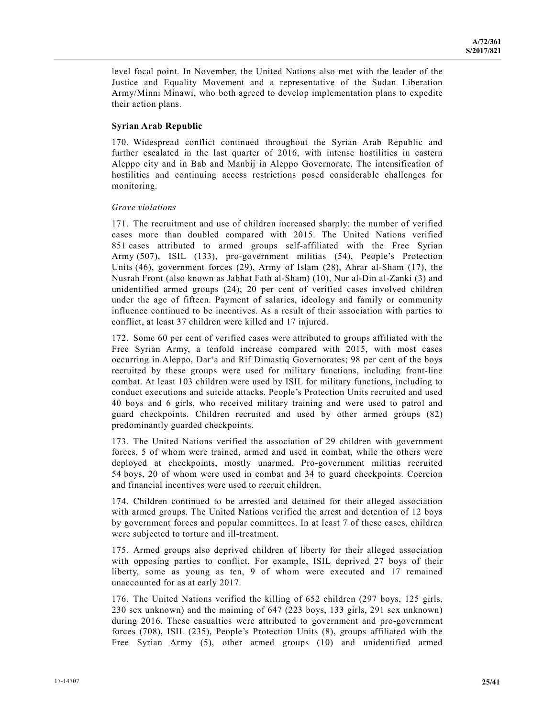level focal point. In November, the United Nations also met with the leader of the Justice and Equality Movement and a representative of the Sudan Liberation Army/Minni Minawi, who both agreed to develop implementation plans to expedite their action plans.

#### **Syrian Arab Republic**

170. Widespread conflict continued throughout the Syrian Arab Republic and further escalated in the last quarter of 2016, with intense hostilities in eastern Aleppo city and in Bab and Manbij in Aleppo Governorate. The intensification of hostilities and continuing access restrictions posed considerable challenges for monitoring.

#### *Grave violations*

171. The recruitment and use of children increased sharply: the number of verified cases more than doubled compared with 2015. The United Nations verified 851 cases attributed to armed groups self-affiliated with the Free Syrian Army (507), ISIL (133), pro-government militias (54), People's Protection Units (46), government forces (29), Army of Islam (28), Ahrar al-Sham (17), the Nusrah Front (also known as Jabhat Fath al-Sham) (10), Nur al-Din al-Zanki (3) and unidentified armed groups (24); 20 per cent of verified cases involved children under the age of fifteen. Payment of salaries, ideology and family or community influence continued to be incentives. As a result of their association with parties to conflict, at least 37 children were killed and 17 injured.

172. Some 60 per cent of verified cases were attributed to groups affiliated with the Free Syrian Army, a tenfold increase compared with 2015, with most cases occurring in Aleppo, Dar'a and Rif Dimastiq Governorates; 98 per cent of the boys recruited by these groups were used for military functions, including front-line combat. At least 103 children were used by ISIL for military functions, including to conduct executions and suicide attacks. People's Protection Units recruited and used 40 boys and 6 girls, who received military training and were used to patrol and guard checkpoints. Children recruited and used by other armed groups (82) predominantly guarded checkpoints.

173. The United Nations verified the association of 29 children with government forces, 5 of whom were trained, armed and used in combat, while the others were deployed at checkpoints, mostly unarmed. Pro-government militias recruited 54 boys, 20 of whom were used in combat and 34 to guard checkpoints. Coercion and financial incentives were used to recruit children.

174. Children continued to be arrested and detained for their alleged association with armed groups. The United Nations verified the arrest and detention of 12 boys by government forces and popular committees. In at least 7 of these cases, children were subjected to torture and ill-treatment.

175. Armed groups also deprived children of liberty for their alleged association with opposing parties to conflict. For example, ISIL deprived 27 boys of their liberty, some as young as ten, 9 of whom were executed and 17 remained unaccounted for as at early 2017.

176. The United Nations verified the killing of 652 children (297 boys, 125 girls, 230 sex unknown) and the maiming of 647 (223 boys, 133 girls, 291 sex unknown) during 2016. These casualties were attributed to government and pro-government forces (708), ISIL (235), People's Protection Units (8), groups affiliated with the Free Syrian Army (5), other armed groups (10) and unidentified armed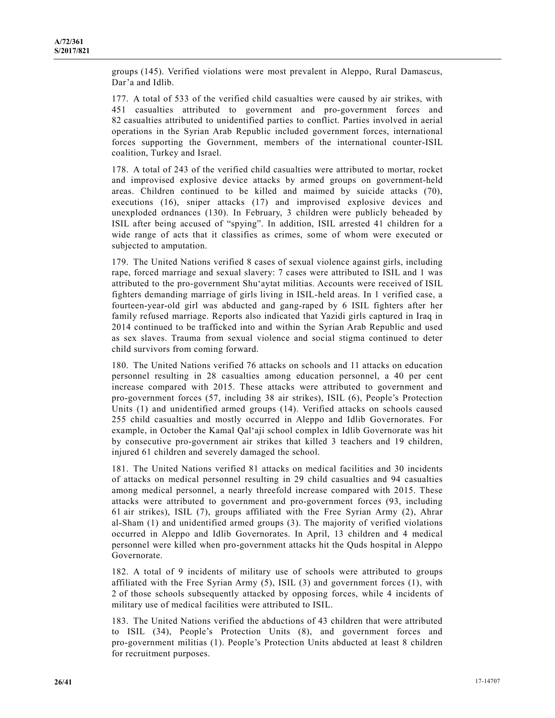groups (145). Verified violations were most prevalent in Aleppo, Rural Damascus, Dar'a and Idlib.

177. A total of 533 of the verified child casualties were caused by air strikes, with 451 casualties attributed to government and pro-government forces and 82 casualties attributed to unidentified parties to conflict. Parties involved in aerial operations in the Syrian Arab Republic included government forces, international forces supporting the Government, members of the international counter-ISIL coalition, Turkey and Israel.

178. A total of 243 of the verified child casualties were attributed to mortar, rocket and improvised explosive device attacks by armed groups on government-held areas. Children continued to be killed and maimed by suicide attacks (70), executions (16), sniper attacks (17) and improvised explosive devices and unexploded ordnances (130). In February, 3 children were publicly beheaded by ISIL after being accused of "spying". In addition, ISIL arrested 41 children for a wide range of acts that it classifies as crimes, some of whom were executed or subjected to amputation.

179. The United Nations verified 8 cases of sexual violence against girls, including rape, forced marriage and sexual slavery: 7 cases were attributed to ISIL and 1 was attributed to the pro-government Shu'aytat militias. Accounts were received of ISIL fighters demanding marriage of girls living in ISIL-held areas. In 1 verified case, a fourteen-year-old girl was abducted and gang-raped by 6 ISIL fighters after her family refused marriage. Reports also indicated that Yazidi girls captured in Iraq in 2014 continued to be trafficked into and within the Syrian Arab Republic and used as sex slaves. Trauma from sexual violence and social stigma continued to deter child survivors from coming forward.

180. The United Nations verified 76 attacks on schools and 11 attacks on education personnel resulting in 28 casualties among education personnel, a 40 per cent increase compared with 2015. These attacks were attributed to government and pro-government forces (57, including 38 air strikes), ISIL (6), People's Protection Units (1) and unidentified armed groups (14). Verified attacks on schools caused 255 child casualties and mostly occurred in Aleppo and Idlib Governorates. For example, in October the Kamal Qal'aji school complex in Idlib Governorate was hit by consecutive pro-government air strikes that killed 3 teachers and 19 children, injured 61 children and severely damaged the school.

181. The United Nations verified 81 attacks on medical facilities and 30 incidents of attacks on medical personnel resulting in 29 child casualties and 94 casualties among medical personnel, a nearly threefold increase compared with 2015. These attacks were attributed to government and pro-government forces (93, including 61 air strikes), ISIL (7), groups affiliated with the Free Syrian Army (2), Ahrar al-Sham (1) and unidentified armed groups (3). The majority of verified violations occurred in Aleppo and Idlib Governorates. In April, 13 children and 4 medical personnel were killed when pro-government attacks hit the Quds hospital in Aleppo Governorate.

182. A total of 9 incidents of military use of schools were attributed to groups affiliated with the Free Syrian Army (5), ISIL (3) and government forces (1), with 2 of those schools subsequently attacked by opposing forces, while 4 incidents of military use of medical facilities were attributed to ISIL.

183. The United Nations verified the abductions of 43 children that were attributed to ISIL (34), People's Protection Units (8), and government forces and pro-government militias (1). People's Protection Units abducted at least 8 children for recruitment purposes.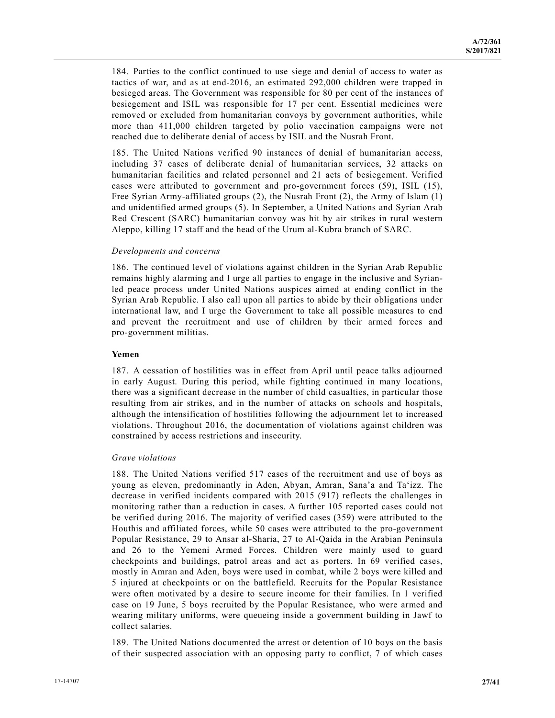184. Parties to the conflict continued to use siege and denial of access to water as tactics of war, and as at end-2016, an estimated 292,000 children were trapped in besieged areas. The Government was responsible for 80 per cent of the instances of besiegement and ISIL was responsible for 17 per cent. Essential medicines were removed or excluded from humanitarian convoys by government authorities, while more than 411,000 children targeted by polio vaccination campaigns were not reached due to deliberate denial of access by ISIL and the Nusrah Front.

185. The United Nations verified 90 instances of denial of humanitarian access, including 37 cases of deliberate denial of humanitarian services, 32 attacks on humanitarian facilities and related personnel and 21 acts of besiegement. Verified cases were attributed to government and pro-government forces (59), ISIL (15), Free Syrian Army-affiliated groups (2), the Nusrah Front (2), the Army of Islam (1) and unidentified armed groups (5). In September, a United Nations and Syrian Arab Red Crescent (SARC) humanitarian convoy was hit by air strikes in rural western Aleppo, killing 17 staff and the head of the Urum al-Kubra branch of SARC.

#### *Developments and concerns*

186. The continued level of violations against children in the Syrian Arab Republic remains highly alarming and I urge all parties to engage in the inclusive and Syrianled peace process under United Nations auspices aimed at ending conflict in the Syrian Arab Republic. I also call upon all parties to abide by their obligations under international law, and I urge the Government to take all possible measures to end and prevent the recruitment and use of children by their armed forces and pro-government militias.

#### **Yemen**

187. A cessation of hostilities was in effect from April until peace talks adjourned in early August. During this period, while fighting continued in many locations, there was a significant decrease in the number of child casualties, in particular those resulting from air strikes, and in the number of attacks on schools and hospitals, although the intensification of hostilities following the adjournment let to increased violations. Throughout 2016, the documentation of violations against children was constrained by access restrictions and insecurity.

#### *Grave violations*

188. The United Nations verified 517 cases of the recruitment and use of boys as young as eleven, predominantly in Aden, Abyan, Amran, Sana'a and Ta'izz. The decrease in verified incidents compared with 2015 (917) reflects the challenges in monitoring rather than a reduction in cases. A further 105 reported cases could not be verified during 2016. The majority of verified cases (359) were attributed to the Houthis and affiliated forces, while 50 cases were attributed to the pro-government Popular Resistance, 29 to Ansar al-Sharia, 27 to Al-Qaida in the Arabian Peninsula and 26 to the Yemeni Armed Forces. Children were mainly used to guard checkpoints and buildings, patrol areas and act as porters. In 69 verified cases, mostly in Amran and Aden, boys were used in combat, while 2 boys were killed and 5 injured at checkpoints or on the battlefield. Recruits for the Popular Resistance were often motivated by a desire to secure income for their families. In 1 verified case on 19 June, 5 boys recruited by the Popular Resistance, who were armed and wearing military uniforms, were queueing inside a government building in Jawf to collect salaries.

189. The United Nations documented the arrest or detention of 10 boys on the basis of their suspected association with an opposing party to conflict, 7 of which cases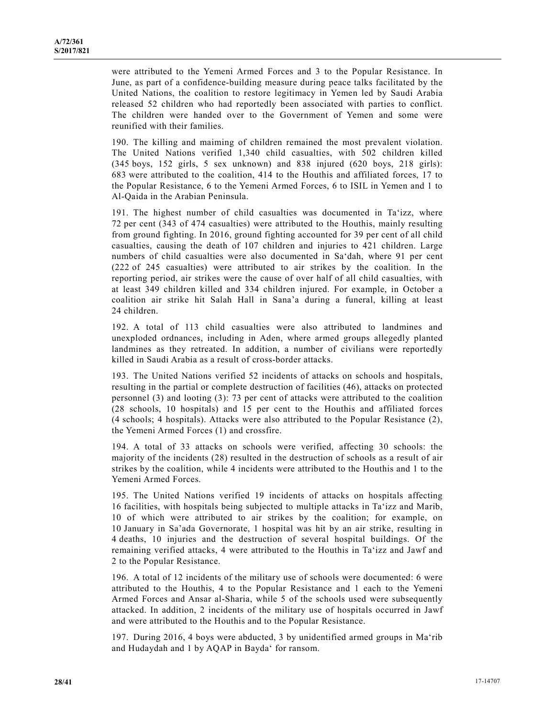were attributed to the Yemeni Armed Forces and 3 to the Popular Resistance. In June, as part of a confidence-building measure during peace talks facilitated by the United Nations, the coalition to restore legitimacy in Yemen led by Saudi Arabia released 52 children who had reportedly been associated with parties to conflict. The children were handed over to the Government of Yemen and some were reunified with their families.

190. The killing and maiming of children remained the most prevalent violation. The United Nations verified 1,340 child casualties, with 502 children killed (345 boys, 152 girls, 5 sex unknown) and 838 injured (620 boys, 218 girls): 683 were attributed to the coalition, 414 to the Houthis and affiliated forces, 17 to the Popular Resistance, 6 to the Yemeni Armed Forces, 6 to ISIL in Yemen and 1 to Al-Qaida in the Arabian Peninsula.

191. The highest number of child casualties was documented in Ta'izz, where 72 per cent (343 of 474 casualties) were attributed to the Houthis, mainly resulting from ground fighting. In 2016, ground fighting accounted for 39 per cent of all child casualties, causing the death of 107 children and injuries to 421 children. Large numbers of child casualties were also documented in Sa'dah, where 91 per cent (222 of 245 casualties) were attributed to air strikes by the coalition. In the reporting period, air strikes were the cause of over half of all child casualties, with at least 349 children killed and 334 children injured. For example, in October a coalition air strike hit Salah Hall in Sana'a during a funeral, killing at least 24 children.

192. A total of 113 child casualties were also attributed to landmines and unexploded ordnances, including in Aden, where armed groups allegedly planted landmines as they retreated. In addition, a number of civilians were reportedly killed in Saudi Arabia as a result of cross-border attacks.

193. The United Nations verified 52 incidents of attacks on schools and hospitals, resulting in the partial or complete destruction of facilities (46), attacks on protected personnel (3) and looting (3): 73 per cent of attacks were attributed to the coalition (28 schools, 10 hospitals) and 15 per cent to the Houthis and affiliated forces (4 schools; 4 hospitals). Attacks were also attributed to the Popular Resistance (2), the Yemeni Armed Forces (1) and crossfire.

194. A total of 33 attacks on schools were verified, affecting 30 schools: the majority of the incidents (28) resulted in the destruction of schools as a result of air strikes by the coalition, while 4 incidents were attributed to the Houthis and 1 to the Yemeni Armed Forces.

195. The United Nations verified 19 incidents of attacks on hospitals affecting 16 facilities, with hospitals being subjected to multiple attacks in Ta'izz and Marib, 10 of which were attributed to air strikes by the coalition; for example, on 10 January in Sa'ada Governorate, 1 hospital was hit by an air strike, resulting in 4 deaths, 10 injuries and the destruction of several hospital buildings. Of the remaining verified attacks, 4 were attributed to the Houthis in Ta'izz and Jawf and 2 to the Popular Resistance.

196. A total of 12 incidents of the military use of schools were documented: 6 were attributed to the Houthis, 4 to the Popular Resistance and 1 each to the Yemeni Armed Forces and Ansar al-Sharia, while 5 of the schools used were subsequently attacked. In addition, 2 incidents of the military use of hospitals occurred in Jawf and were attributed to the Houthis and to the Popular Resistance.

197. During 2016, 4 boys were abducted, 3 by unidentified armed groups in Ma'rib and Hudaydah and 1 by AQAP in Bayda' for ransom.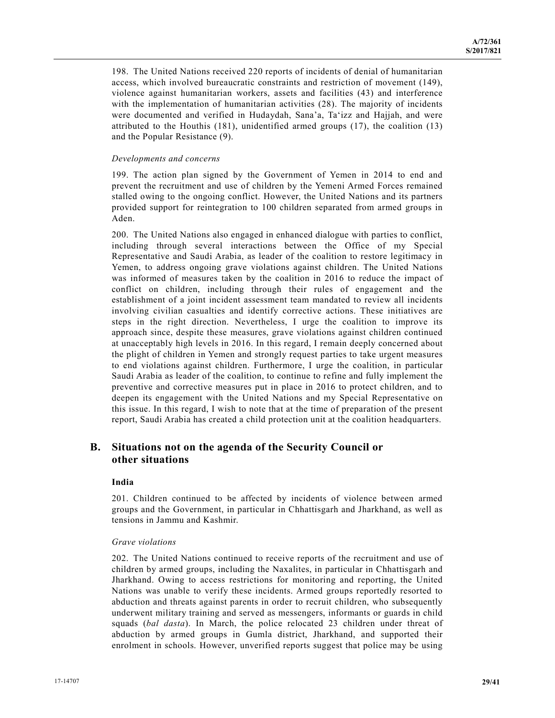198. The United Nations received 220 reports of incidents of denial of humanitarian access, which involved bureaucratic constraints and restriction of movement (149), violence against humanitarian workers, assets and facilities (43) and interference with the implementation of humanitarian activities (28). The majority of incidents were documented and verified in Hudaydah, Sana'a, Ta'izz and Hajjah, and were attributed to the Houthis (181), unidentified armed groups (17), the coalition (13) and the Popular Resistance (9).

### *Developments and concerns*

199. The action plan signed by the Government of Yemen in 2014 to end and prevent the recruitment and use of children by the Yemeni Armed Forces remained stalled owing to the ongoing conflict. However, the United Nations and its partners provided support for reintegration to 100 children separated from armed groups in Aden.

200. The United Nations also engaged in enhanced dialogue with parties to conflict, including through several interactions between the Office of my Special Representative and Saudi Arabia, as leader of the coalition to restore legitimacy in Yemen, to address ongoing grave violations against children. The United Nations was informed of measures taken by the coalition in 2016 to reduce the impact of conflict on children, including through their rules of engagement and the establishment of a joint incident assessment team mandated to review all incidents involving civilian casualties and identify corrective actions. These initiatives are steps in the right direction. Nevertheless, I urge the coalition to improve its approach since, despite these measures, grave violations against children continued at unacceptably high levels in 2016. In this regard, I remain deeply concerned about the plight of children in Yemen and strongly request parties to take urgent measures to end violations against children. Furthermore, I urge the coalition, in particular Saudi Arabia as leader of the coalition, to continue to refine and fully implement the preventive and corrective measures put in place in 2016 to protect children, and to deepen its engagement with the United Nations and my Special Representative on this issue. In this regard, I wish to note that at the time of preparation of the present report, Saudi Arabia has created a child protection unit at the coalition headquarters.

## **B. Situations not on the agenda of the Security Council or other situations**

#### **India**

201. Children continued to be affected by incidents of violence between armed groups and the Government, in particular in Chhattisgarh and Jharkhand, as well as tensions in Jammu and Kashmir.

#### *Grave violations*

202. The United Nations continued to receive reports of the recruitment and use of children by armed groups, including the Naxalites, in particular in Chhattisgarh and Jharkhand. Owing to access restrictions for monitoring and reporting, the United Nations was unable to verify these incidents. Armed groups reportedly resorted to abduction and threats against parents in order to recruit children, who subsequently underwent military training and served as messengers, informants or guards in child squads (*bal dasta*). In March, the police relocated 23 children under threat of abduction by armed groups in Gumla district, Jharkhand, and supported their enrolment in schools. However, unverified reports suggest that police may be using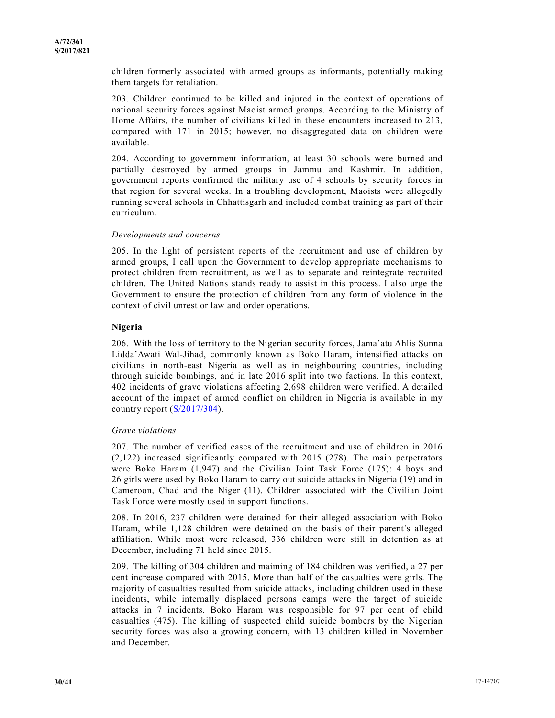children formerly associated with armed groups as informants, potentially making them targets for retaliation.

203. Children continued to be killed and injured in the context of operations of national security forces against Maoist armed groups. According to the Ministry of Home Affairs, the number of civilians killed in these encounters increased to 213, compared with 171 in 2015; however, no disaggregated data on children were available.

204. According to government information, at least 30 schools were burned and partially destroyed by armed groups in Jammu and Kashmir. In addition, government reports confirmed the military use of 4 schools by security forces in that region for several weeks. In a troubling development, Maoists were allegedly running several schools in Chhattisgarh and included combat training as part of their curriculum.

#### *Developments and concerns*

205. In the light of persistent reports of the recruitment and use of children by armed groups, I call upon the Government to develop appropriate mechanisms to protect children from recruitment, as well as to separate and reintegrate recruited children. The United Nations stands ready to assist in this process. I also urge the Government to ensure the protection of children from any form of violence in the context of civil unrest or law and order operations.

## **Nigeria**

206. With the loss of territory to the Nigerian security forces, Jama'atu Ahlis Sunna Lidda'Awati Wal-Jihad, commonly known as Boko Haram, intensified attacks on civilians in north-east Nigeria as well as in neighbouring countries, including through suicide bombings, and in late 2016 split into two factions. In this context, 402 incidents of grave violations affecting 2,698 children were verified. A detailed account of the impact of armed conflict on children in Nigeria is available in my country report (S/2017/304).

#### *Grave violations*

207. The number of verified cases of the recruitment and use of children in 2016 (2,122) increased significantly compared with 2015 (278). The main perpetrators were Boko Haram (1,947) and the Civilian Joint Task Force (175): 4 boys and 26 girls were used by Boko Haram to carry out suicide attacks in Nigeria (19) and in Cameroon, Chad and the Niger (11). Children associated with the Civilian Joint Task Force were mostly used in support functions.

208. In 2016, 237 children were detained for their alleged association with Boko Haram, while 1,128 children were detained on the basis of their parent's alleged affiliation. While most were released, 336 children were still in detention as at December, including 71 held since 2015.

209. The killing of 304 children and maiming of 184 children was verified, a 27 per cent increase compared with 2015. More than half of the casualties were girls. The majority of casualties resulted from suicide attacks, including children used in these incidents, while internally displaced persons camps were the target of suicide attacks in 7 incidents. Boko Haram was responsible for 97 per cent of child casualties (475). The killing of suspected child suicide bombers by the Nigerian security forces was also a growing concern, with 13 children killed in November and December.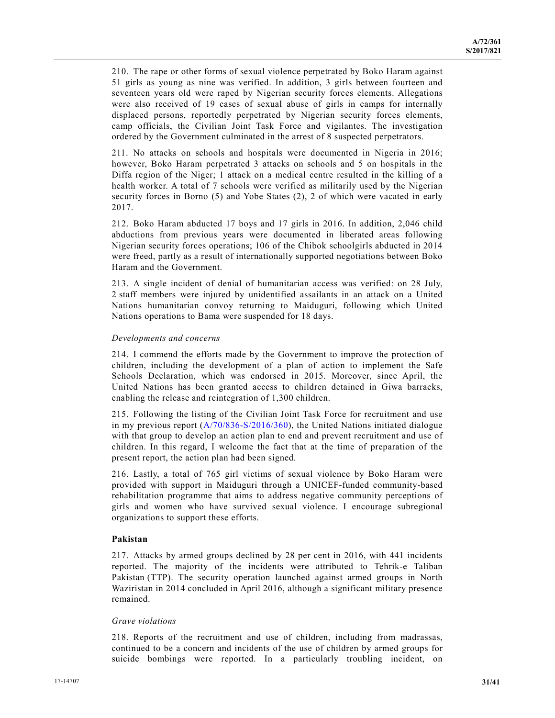210. The rape or other forms of sexual violence perpetrated by Boko Haram against 51 girls as young as nine was verified. In addition, 3 girls between fourteen and seventeen years old were raped by Nigerian security forces elements. Allegations were also received of 19 cases of sexual abuse of girls in camps for internally displaced persons, reportedly perpetrated by Nigerian security forces elements, camp officials, the Civilian Joint Task Force and vigilantes. The investigation ordered by the Government culminated in the arrest of 8 suspected perpetrators.

211. No attacks on schools and hospitals were documented in Nigeria in 2016; however, Boko Haram perpetrated 3 attacks on schools and 5 on hospitals in the Diffa region of the Niger; 1 attack on a medical centre resulted in the killing of a health worker. A total of 7 schools were verified as militarily used by the Nigerian security forces in Borno (5) and Yobe States (2), 2 of which were vacated in early 2017.

212. Boko Haram abducted 17 boys and 17 girls in 2016. In addition, 2,046 child abductions from previous years were documented in liberated areas following Nigerian security forces operations; 106 of the Chibok schoolgirls abducted in 2014 were freed, partly as a result of internationally supported negotiations between Boko Haram and the Government.

213. A single incident of denial of humanitarian access was verified: on 28 July, 2 staff members were injured by unidentified assailants in an attack on a United Nations humanitarian convoy returning to Maiduguri, following which United Nations operations to Bama were suspended for 18 days.

#### *Developments and concerns*

214. I commend the efforts made by the Government to improve the protection of children, including the development of a plan of action to implement the Safe Schools Declaration, which was endorsed in 2015. Moreover, since April, the United Nations has been granted access to children detained in Giwa barracks, enabling the release and reintegration of 1,300 children.

215. Following the listing of the Civilian Joint Task Force for recruitment and use in my previous report  $(A/70/836-S/2016/360)$ , the United Nations initiated dialogue with that group to develop an action plan to end and prevent recruitment and use of children. In this regard, I welcome the fact that at the time of preparation of the present report, the action plan had been signed.

216. Lastly, a total of 765 girl victims of sexual violence by Boko Haram were provided with support in Maiduguri through a UNICEF-funded community-based rehabilitation programme that aims to address negative community perceptions of girls and women who have survived sexual violence. I encourage subregional organizations to support these efforts.

## **Pakistan**

217. Attacks by armed groups declined by 28 per cent in 2016, with 441 incidents reported. The majority of the incidents were attributed to Tehrik-e Taliban Pakistan (TTP). The security operation launched against armed groups in North Waziristan in 2014 concluded in April 2016, although a significant military presence remained.

#### *Grave violations*

218. Reports of the recruitment and use of children, including from madrassas, continued to be a concern and incidents of the use of children by armed groups for suicide bombings were reported. In a particularly troubling incident, on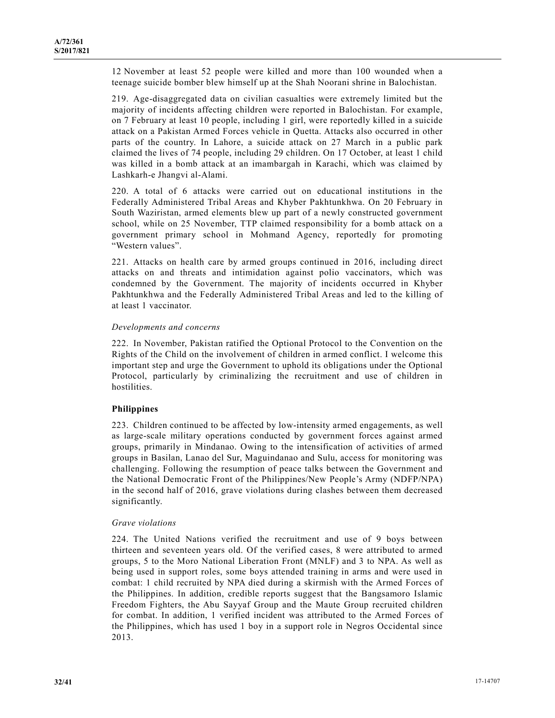12 November at least 52 people were killed and more than 100 wounded when a teenage suicide bomber blew himself up at the Shah Noorani shrine in Balochistan.

219. Age-disaggregated data on civilian casualties were extremely limited but the majority of incidents affecting children were reported in Balochistan. For example, on 7 February at least 10 people, including 1 girl, were reportedly killed in a suicide attack on a Pakistan Armed Forces vehicle in Quetta. Attacks also occurred in other parts of the country. In Lahore, a suicide attack on 27 March in a public park claimed the lives of 74 people, including 29 children. On 17 October, at least 1 child was killed in a bomb attack at an imambargah in Karachi, which was claimed by Lashkarh-e Jhangvi al-Alami.

220. A total of 6 attacks were carried out on educational institutions in the Federally Administered Tribal Areas and Khyber Pakhtunkhwa. On 20 February in South Waziristan, armed elements blew up part of a newly constructed government school, while on 25 November, TTP claimed responsibility for a bomb attack on a government primary school in Mohmand Agency, reportedly for promoting "Western values".

221. Attacks on health care by armed groups continued in 2016, including direct attacks on and threats and intimidation against polio vaccinators, which was condemned by the Government. The majority of incidents occurred in Khyber Pakhtunkhwa and the Federally Administered Tribal Areas and led to the killing of at least 1 vaccinator.

## *Developments and concerns*

222. In November, Pakistan ratified the Optional Protocol to the Convention on the Rights of the Child on the involvement of children in armed conflict. I welcome this important step and urge the Government to uphold its obligations under the Optional Protocol, particularly by criminalizing the recruitment and use of children in hostilities.

## **Philippines**

223. Children continued to be affected by low-intensity armed engagements, as well as large-scale military operations conducted by government forces against armed groups, primarily in Mindanao. Owing to the intensification of activities of armed groups in Basilan, Lanao del Sur, Maguindanao and Sulu, access for monitoring was challenging. Following the resumption of peace talks between the Government and the National Democratic Front of the Philippines/New People's Army (NDFP/NPA) in the second half of 2016, grave violations during clashes between them decreased significantly.

## *Grave violations*

224. The United Nations verified the recruitment and use of 9 boys between thirteen and seventeen years old. Of the verified cases, 8 were attributed to armed groups, 5 to the Moro National Liberation Front (MNLF) and 3 to NPA. As well as being used in support roles, some boys attended training in arms and were used in combat: 1 child recruited by NPA died during a skirmish with the Armed Forces of the Philippines. In addition, credible reports suggest that the Bangsamoro Islamic Freedom Fighters, the Abu Sayyaf Group and the Maute Group recruited children for combat. In addition, 1 verified incident was attributed to the Armed Forces of the Philippines, which has used 1 boy in a support role in Negros Occidental since 2013.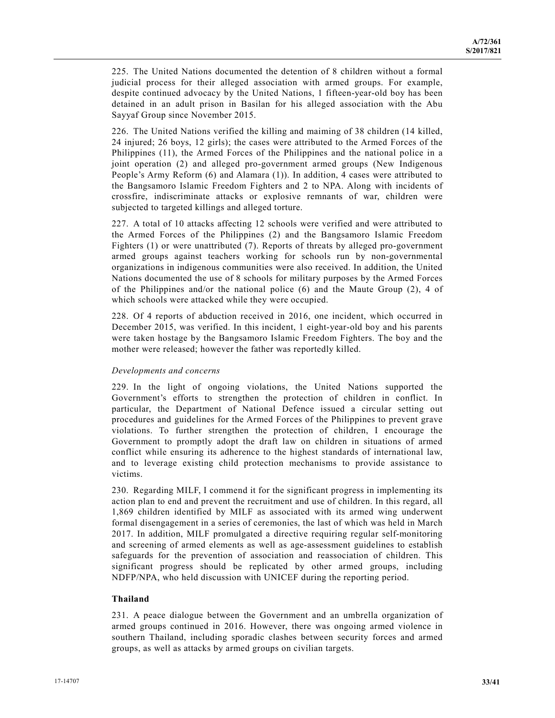225. The United Nations documented the detention of 8 children without a formal judicial process for their alleged association with armed groups. For example, despite continued advocacy by the United Nations, 1 fifteen-year-old boy has been detained in an adult prison in Basilan for his alleged association with the Abu Sayyaf Group since November 2015.

226. The United Nations verified the killing and maiming of 38 children (14 killed, 24 injured; 26 boys, 12 girls); the cases were attributed to the Armed Forces of the Philippines (11), the Armed Forces of the Philippines and the national police in a joint operation (2) and alleged pro-government armed groups (New Indigenous People's Army Reform (6) and Alamara (1)). In addition, 4 cases were attributed to the Bangsamoro Islamic Freedom Fighters and 2 to NPA. Along with incidents of crossfire, indiscriminate attacks or explosive remnants of war, children were subjected to targeted killings and alleged torture.

227. A total of 10 attacks affecting 12 schools were verified and were attributed to the Armed Forces of the Philippines (2) and the Bangsamoro Islamic Freedom Fighters (1) or were unattributed (7). Reports of threats by alleged pro-government armed groups against teachers working for schools run by non-governmental organizations in indigenous communities were also received. In addition, the United Nations documented the use of 8 schools for military purposes by the Armed Forces of the Philippines and/or the national police (6) and the Maute Group (2), 4 of which schools were attacked while they were occupied.

228. Of 4 reports of abduction received in 2016, one incident, which occurred in December 2015, was verified. In this incident, 1 eight-year-old boy and his parents were taken hostage by the Bangsamoro Islamic Freedom Fighters. The boy and the mother were released; however the father was reportedly killed.

## *Developments and concerns*

229. In the light of ongoing violations, the United Nations supported the Government's efforts to strengthen the protection of children in conflict. In particular, the Department of National Defence issued a circular setting out procedures and guidelines for the Armed Forces of the Philippines to prevent grave violations. To further strengthen the protection of children, I encourage the Government to promptly adopt the draft law on children in situations of armed conflict while ensuring its adherence to the highest standards of international law, and to leverage existing child protection mechanisms to provide assistance to victims.

230. Regarding MILF, I commend it for the significant progress in implementing its action plan to end and prevent the recruitment and use of children. In this regard, all 1,869 children identified by MILF as associated with its armed wing underwent formal disengagement in a series of ceremonies, the last of which was held in March 2017. In addition, MILF promulgated a directive requiring regular self-monitoring and screening of armed elements as well as age-assessment guidelines to establish safeguards for the prevention of association and reassociation of children. This significant progress should be replicated by other armed groups, including NDFP/NPA, who held discussion with UNICEF during the reporting period.

## **Thailand**

231. A peace dialogue between the Government and an umbrella organization of armed groups continued in 2016. However, there was ongoing armed violence in southern Thailand, including sporadic clashes between security forces and armed groups, as well as attacks by armed groups on civilian targets.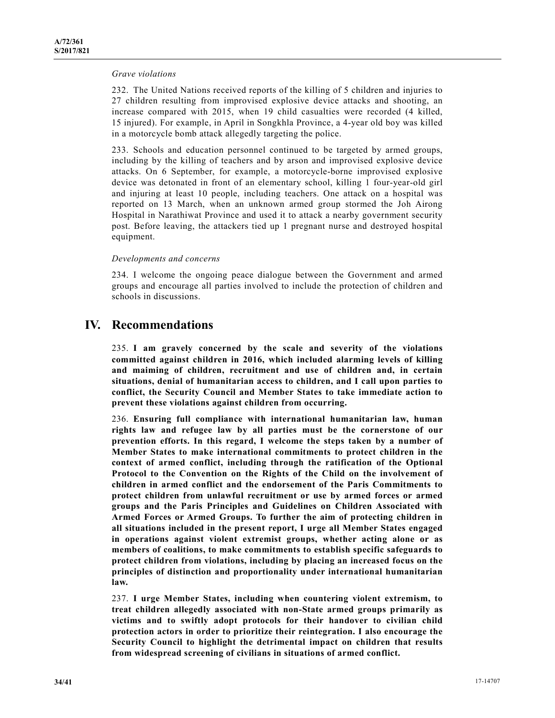#### *Grave violations*

232. The United Nations received reports of the killing of 5 children and injuries to 27 children resulting from improvised explosive device attacks and shooting, an increase compared with 2015, when 19 child casualties were recorded (4 killed, 15 injured). For example, in April in Songkhla Province, a 4-year old boy was killed in a motorcycle bomb attack allegedly targeting the police.

233. Schools and education personnel continued to be targeted by armed groups, including by the killing of teachers and by arson and improvised explosive device attacks. On 6 September, for example, a motorcycle-borne improvised explosive device was detonated in front of an elementary school, killing 1 four-year-old girl and injuring at least 10 people, including teachers. One attack on a hospital was reported on 13 March, when an unknown armed group stormed the Joh Airong Hospital in Narathiwat Province and used it to attack a nearby government security post. Before leaving, the attackers tied up 1 pregnant nurse and destroyed hospital equipment.

#### *Developments and concerns*

234. I welcome the ongoing peace dialogue between the Government and armed groups and encourage all parties involved to include the protection of children and schools in discussions.

## **IV. Recommendations**

235. **I am gravely concerned by the scale and severity of the violations committed against children in 2016, which included alarming levels of killing and maiming of children, recruitment and use of children and, in certain situations, denial of humanitarian access to children, and I call upon parties to conflict, the Security Council and Member States to take immediate action to prevent these violations against children from occurring.** 

236. **Ensuring full compliance with international humanitarian law, human rights law and refugee law by all parties must be the cornerstone of our prevention efforts. In this regard, I welcome the steps taken by a number of Member States to make international commitments to protect children in the context of armed conflict, including through the ratification of the Optional Protocol to the Convention on the Rights of the Child on the involvement of children in armed conflict and the endorsement of the Paris Commitments to protect children from unlawful recruitment or use by armed forces or armed groups and the Paris Principles and Guidelines on Children Associated with Armed Forces or Armed Groups. To further the aim of protecting children in all situations included in the present report, I urge all Member States engaged in operations against violent extremist groups, whether acting alone or as members of coalitions, to make commitments to establish specific safeguards to protect children from violations, including by placing an increased focus on the principles of distinction and proportionality under international humanitarian law.** 

237. **I urge Member States, including when countering violent extremism, to treat children allegedly associated with non-State armed groups primarily as victims and to swiftly adopt protocols for their handover to civilian child protection actors in order to prioritize their reintegration. I also encourage the Security Council to highlight the detrimental impact on children that results from widespread screening of civilians in situations of armed conflict.**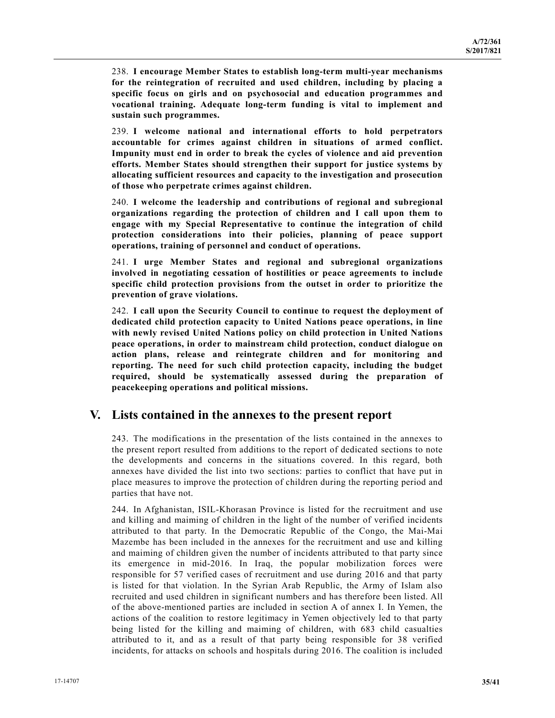238. **I encourage Member States to establish long-term multi-year mechanisms for the reintegration of recruited and used children, including by placing a specific focus on girls and on psychosocial and education programmes and vocational training. Adequate long-term funding is vital to implement and sustain such programmes.** 

239. **I welcome national and international efforts to hold perpetrators accountable for crimes against children in situations of armed conflict. Impunity must end in order to break the cycles of violence and aid prevention efforts. Member States should strengthen their support for justice systems by allocating sufficient resources and capacity to the investigation and prosecution of those who perpetrate crimes against children.** 

240. **I welcome the leadership and contributions of regional and subregional organizations regarding the protection of children and I call upon them to engage with my Special Representative to continue the integration of child protection considerations into their policies, planning of peace support operations, training of personnel and conduct of operations.** 

241. **I urge Member States and regional and subregional organizations involved in negotiating cessation of hostilities or peace agreements to include specific child protection provisions from the outset in order to prioritize the prevention of grave violations.** 

242. **I call upon the Security Council to continue to request the deployment of dedicated child protection capacity to United Nations peace operations, in line with newly revised United Nations policy on child protection in United Nations peace operations, in order to mainstream child protection, conduct dialogue on action plans, release and reintegrate children and for monitoring and reporting. The need for such child protection capacity, including the budget required, should be systematically assessed during the preparation of peacekeeping operations and political missions.** 

## **V. Lists contained in the annexes to the present report**

243. The modifications in the presentation of the lists contained in the annexes to the present report resulted from additions to the report of dedicated sections to note the developments and concerns in the situations covered. In this regard, both annexes have divided the list into two sections: parties to conflict that have put in place measures to improve the protection of children during the reporting period and parties that have not.

244. In Afghanistan, ISIL-Khorasan Province is listed for the recruitment and use and killing and maiming of children in the light of the number of verified incidents attributed to that party. In the Democratic Republic of the Congo, the Mai-Mai Mazembe has been included in the annexes for the recruitment and use and killing and maiming of children given the number of incidents attributed to that party since its emergence in mid-2016. In Iraq, the popular mobilization forces were responsible for 57 verified cases of recruitment and use during 2016 and that party is listed for that violation. In the Syrian Arab Republic, the Army of Islam also recruited and used children in significant numbers and has therefore been listed. All of the above-mentioned parties are included in section A of annex I. In Yemen, the actions of the coalition to restore legitimacy in Yemen objectively led to that party being listed for the killing and maiming of children, with 683 child casualties attributed to it, and as a result of that party being responsible for 38 verified incidents, for attacks on schools and hospitals during 2016. The coalition is included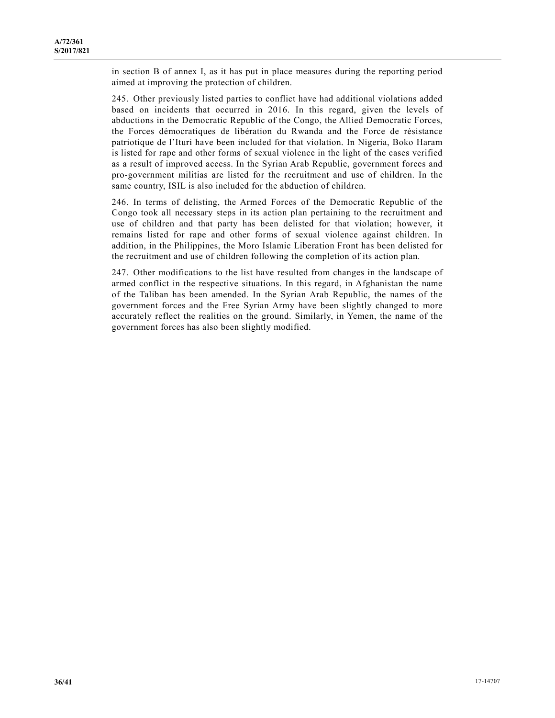in section B of annex I, as it has put in place measures during the reporting period aimed at improving the protection of children.

245. Other previously listed parties to conflict have had additional violations added based on incidents that occurred in 2016. In this regard, given the levels of abductions in the Democratic Republic of the Congo, the Allied Democratic Forces, the Forces démocratiques de libération du Rwanda and the Force de résistance patriotique de l'Ituri have been included for that violation. In Nigeria, Boko Haram is listed for rape and other forms of sexual violence in the light of the cases verified as a result of improved access. In the Syrian Arab Republic, government forces and pro-government militias are listed for the recruitment and use of children. In the same country, ISIL is also included for the abduction of children.

246. In terms of delisting, the Armed Forces of the Democratic Republic of the Congo took all necessary steps in its action plan pertaining to the recruitment and use of children and that party has been delisted for that violation; however, it remains listed for rape and other forms of sexual violence against children. In addition, in the Philippines, the Moro Islamic Liberation Front has been delisted for the recruitment and use of children following the completion of its action plan.

247. Other modifications to the list have resulted from changes in the landscape of armed conflict in the respective situations. In this regard, in Afghanistan the name of the Taliban has been amended. In the Syrian Arab Republic, the names of the government forces and the Free Syrian Army have been slightly changed to more accurately reflect the realities on the ground. Similarly, in Yemen, the name of the government forces has also been slightly modified.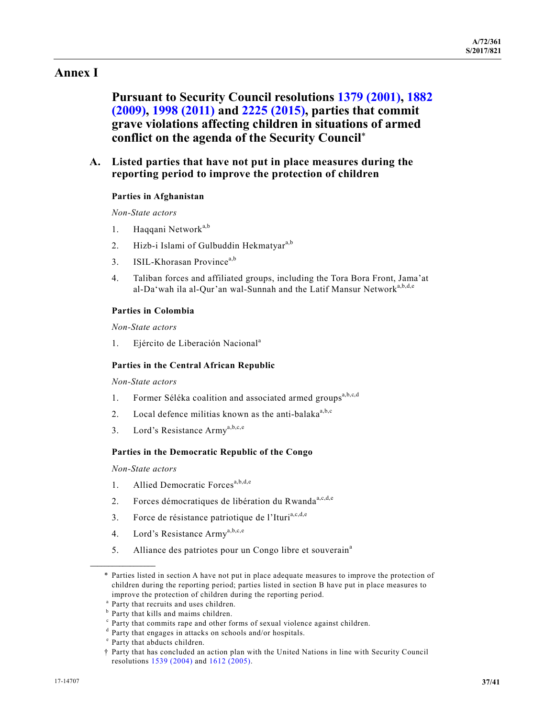## **Annex I**

 **Pursuant to Security Council resolutions 1379 (2001), 1882 (2009), 1998 (2011) and 2225 (2015), parties that commit grave violations affecting children in situations of armed conflict on the agenda of the Security Council**\*

 **A. Listed parties that have not put in place measures during the reporting period to improve the protection of children** 

#### **Parties in Afghanistan**

 *Non-State actors* 

- 1. Haqqani Network<sup>a,b</sup>
- 2. Hizb-i Islami of Gulbuddin Hekmatyar<sup>a,b</sup>
- 3. ISIL-Khorasan Province<sup>a,b</sup>
- 4. Taliban forces and affiliated groups, including the Tora Bora Front, Jama'at al-Da'wah ila al-Qur'an wal-Sunnah and the Latif Mansur Network<sup>a,b,d,e</sup>

### **Parties in Colombia**

 *Non-State actors* 

1. Ejército de Liberación Nacional<sup>a</sup>

#### **Parties in the Central African Republic**

 *Non-State actors* 

- 1. Former Séléka coalition and associated armed groups<sup>a,b,c,d</sup>
- 2. Local defence militias known as the anti-balaka $a<sub>a,b,c</sub>$
- 3. Lord's Resistance Army<sup>a,b,c,e</sup>

#### **Parties in the Democratic Republic of the Congo**

 *Non-State actors* 

**\_\_\_\_\_\_\_\_\_\_\_\_\_\_\_\_\_\_** 

- 1. Allied Democratic Forces<sup>a,b,d,e</sup>
- 2. Forces démocratiques de libération du Rwanda<sup>a,c,d,e</sup>
- 3. Force de résistance patriotique de l'Ituri<sup>a,c,d,e</sup>
- 4. Lord's Resistance Army<sup>a,b,c,e</sup>
- 5. Alliance des patriotes pour un Congo libre et souverain<sup>a</sup>

 <sup>\*</sup> Parties listed in section A have not put in place adequate measures to improve the protection of children during the reporting period; parties listed in section B have put in place measures to improve the protection of children during the reporting period.

<sup>&</sup>lt;sup>a</sup> Party that recruits and uses children.

<sup>&</sup>lt;sup>b</sup> Party that kills and maims children.

<sup>&</sup>lt;sup>c</sup> Party that commits rape and other forms of sexual violence against children.

<sup>&</sup>lt;sup>d</sup> Party that engages in attacks on schools and/or hospitals.

<sup>&</sup>lt;sup>e</sup> Party that abducts children.

<sup>†</sup> Party that has concluded an action plan with the United Nations in line with Security Council resolutions 1539 (2004) and 1612 (2005).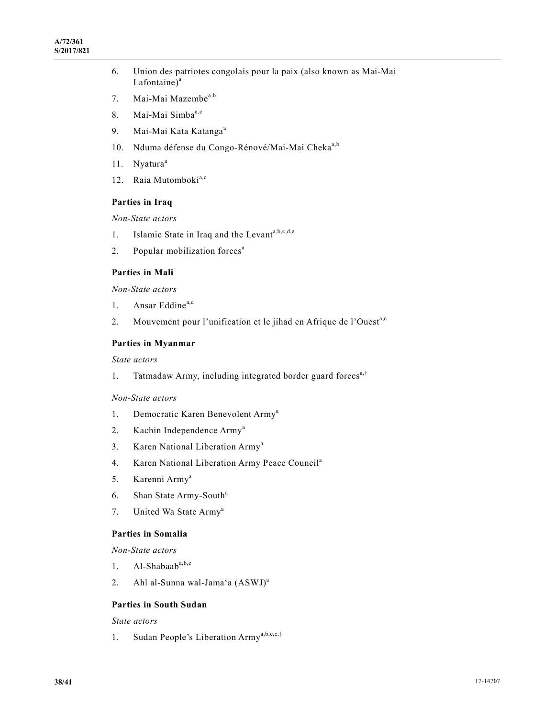- 6. Union des patriotes congolais pour la paix (also known as Mai-Mai  $Lafontaine)<sup>a</sup>$
- 7. Mai-Mai Mazembe<sup>a,b</sup>
- 8. Mai-Mai Simba<sup>a,c</sup>
- 9. Mai-Mai Kata Katanga<sup>a</sup>
- 10. Nduma défense du Congo-Rénové/Mai-Mai Cheka<sup>a,b</sup>
- 11. Nyatura<sup>a</sup>
- 12. Raia Mutomboki<sup>a,c</sup>

## **Parties in Iraq**

 *Non-State actors* 

- 1. Islamic State in Iraq and the Levanta, b, c, d, e
- 2. Popular mobilization forces<sup>a</sup>

### **Parties in Mali**

 *Non-State actors* 

- 1. Ansar Eddine<sup>a,c</sup>
- 2. Mouvement pour l'unification et le jihad en Afrique de l'Ouest<sup>a,c</sup>

### **Parties in Myanmar**

 *State actors* 

1. Tatmadaw Army, including integrated border guard forces<sup>a,†</sup>

#### *Non-State actors*

- 1. Democratic Karen Benevolent Army<sup>a</sup>
- 2. Kachin Independence Army<sup>a</sup>
- 3. Karen National Liberation Army<sup>a</sup>
- 4. Karen National Liberation Army Peace Council<sup>a</sup>
- 5. Karenni Army<sup>a</sup>
- 6. Shan State Army-South<sup>a</sup>
- 7. United Wa State Army<sup>a</sup>

## **Parties in Somalia**

 *Non-State actors* 

- 1. Al-Shabaaba,b,e
- 2. Ahl al-Sunna wal-Jama'a (ASWJ)<sup>a</sup>

## **Parties in South Sudan**

 *State actors* 

1. Sudan People's Liberation Army<sup>a,b,c,e,†</sup>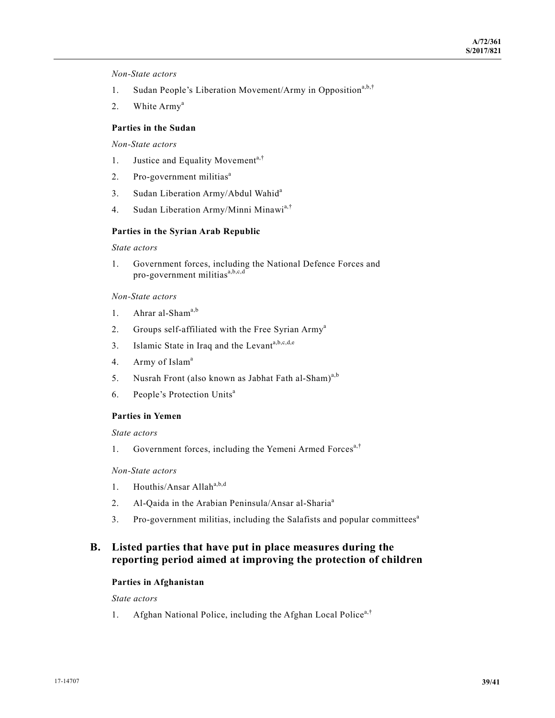*Non-State actors* 

- 1. Sudan People's Liberation Movement/Army in Opposition<sup>a,b,†</sup>
- 2. White Army<sup>a</sup>

## **Parties in the Sudan**

 *Non-State actors* 

- 1. Justice and Equality Movement<sup>a,†</sup>
- 2. Pro-government militias<sup>a</sup>
- 3. Sudan Liberation Army/Abdul Wahid<sup>a</sup>
- 4. Sudan Liberation Army/Minni Minawi<sup>a,†</sup>

#### **Parties in the Syrian Arab Republic**

 *State actors* 

1. Government forces, including the National Defence Forces and pro-government militias $a,b,c,d$ 

#### *Non-State actors*

- 1. Ahrar al-Sham<sup>a,b</sup>
- 2. Groups self-affiliated with the Free Syrian Army<sup>a</sup>
- 3. Islamic State in Iraq and the Levanta,b,c,d,e
- 4. Army of Islam<sup>a</sup>
- 5. Nusrah Front (also known as Jabhat Fath al-Sham)<sup>a,b</sup>
- 6. People's Protection Units<sup>a</sup>

#### **Parties in Yemen**

 *State actors* 

1. Government forces, including the Yemeni Armed Forces<sup>a,†</sup>

#### *Non-State actors*

- 1. Houthis/Ansar Allah $a,b,d$
- 2. Al-Qaida in the Arabian Peninsula/Ansar al-Sharia<sup>a</sup>
- 3. Pro-government militias, including the Salafists and popular committees<sup>a</sup>

## **B. Listed parties that have put in place measures during the reporting period aimed at improving the protection of children**

## **Parties in Afghanistan**

 *State actors* 

1. Afghan National Police, including the Afghan Local Police<sup>a,†</sup>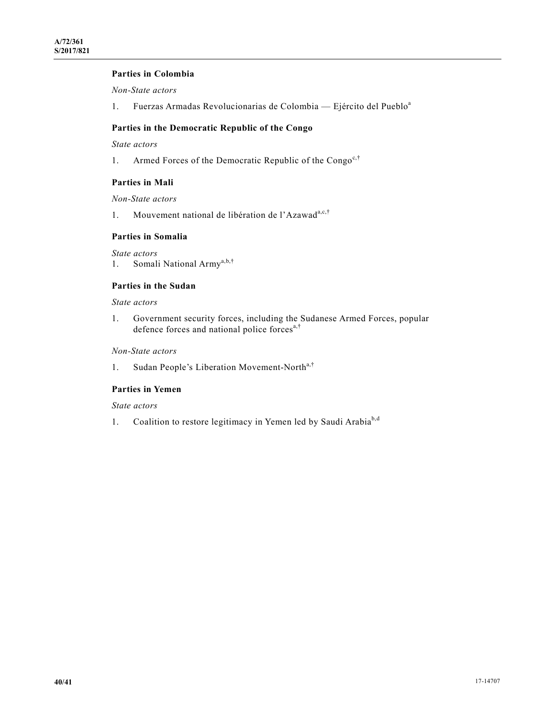### **Parties in Colombia**

 *Non-State actors* 

1. Fuerzas Armadas Revolucionarias de Colombia — Ejército del Pueblo<sup>a</sup>

## **Parties in the Democratic Republic of the Congo**

 *State actors* 

1. Armed Forces of the Democratic Republic of the Congo<sup>c,†</sup>

#### **Parties in Mali**

 *Non-State actors* 

1. Mouvement national de libération de l'Azawad<sup>a,c,†</sup>

#### **Parties in Somalia**

 *State actors*  1. Somali National Army<sup>a,b,†</sup>

### **Parties in the Sudan**

 *State actors* 

1. Government security forces, including the Sudanese Armed Forces, popular defence forces and national police forces<sup>a,†</sup>

## *Non-State actors*

1. Sudan People's Liberation Movement-North<sup>a,†</sup>

## **Parties in Yemen**

 *State actors* 

1. Coalition to restore legitimacy in Yemen led by Saudi Arabia<sup>b,d</sup>